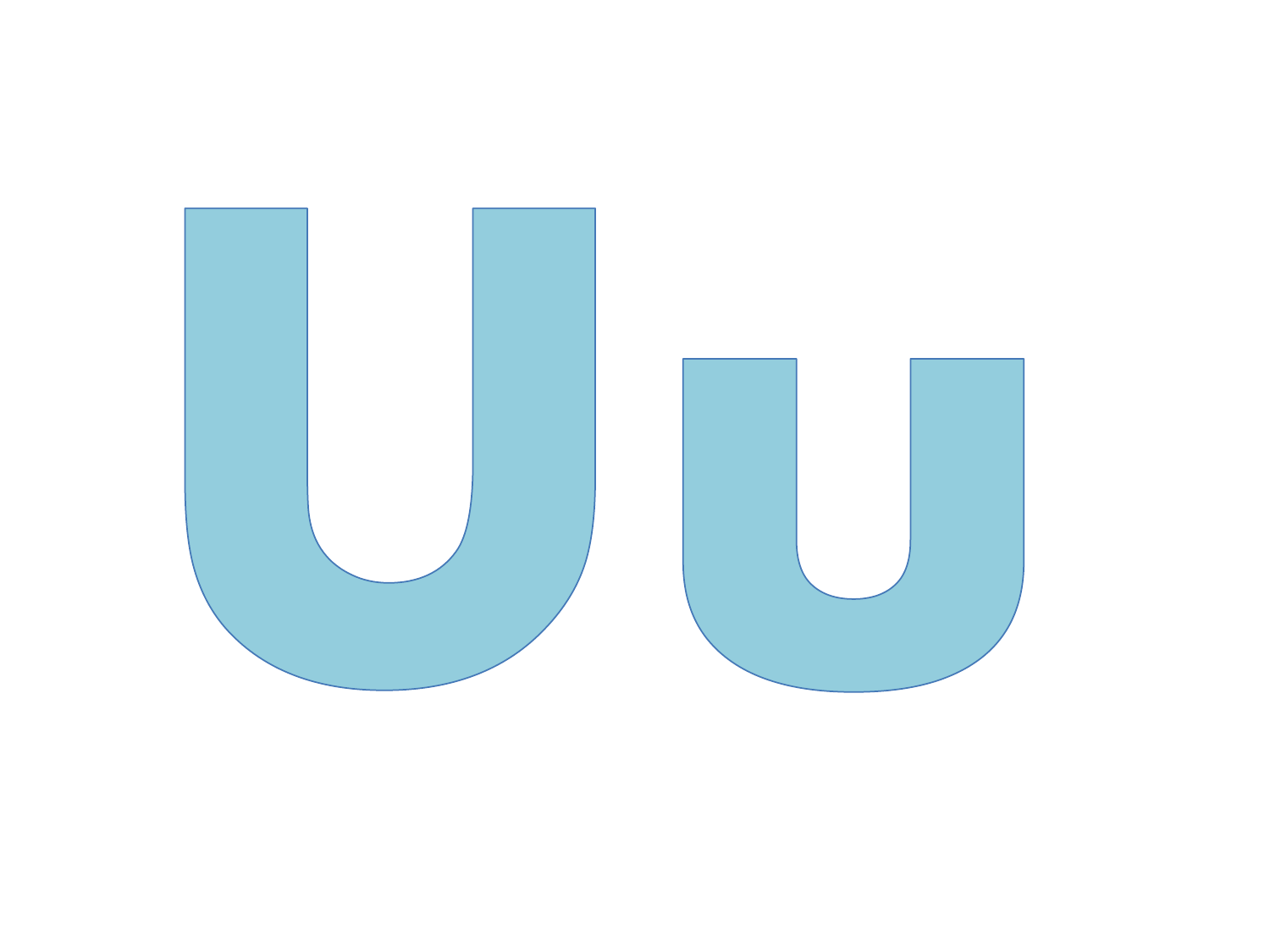

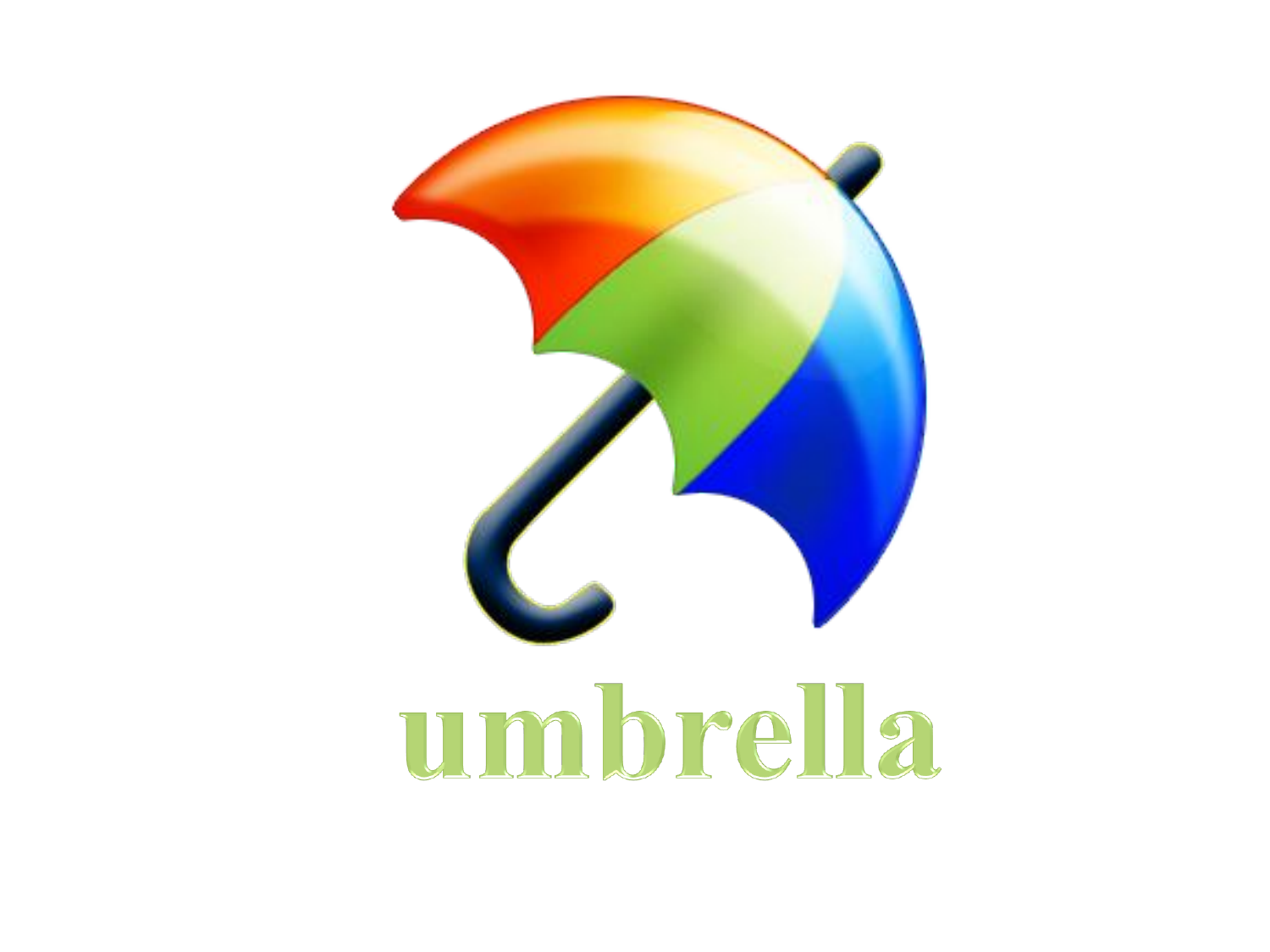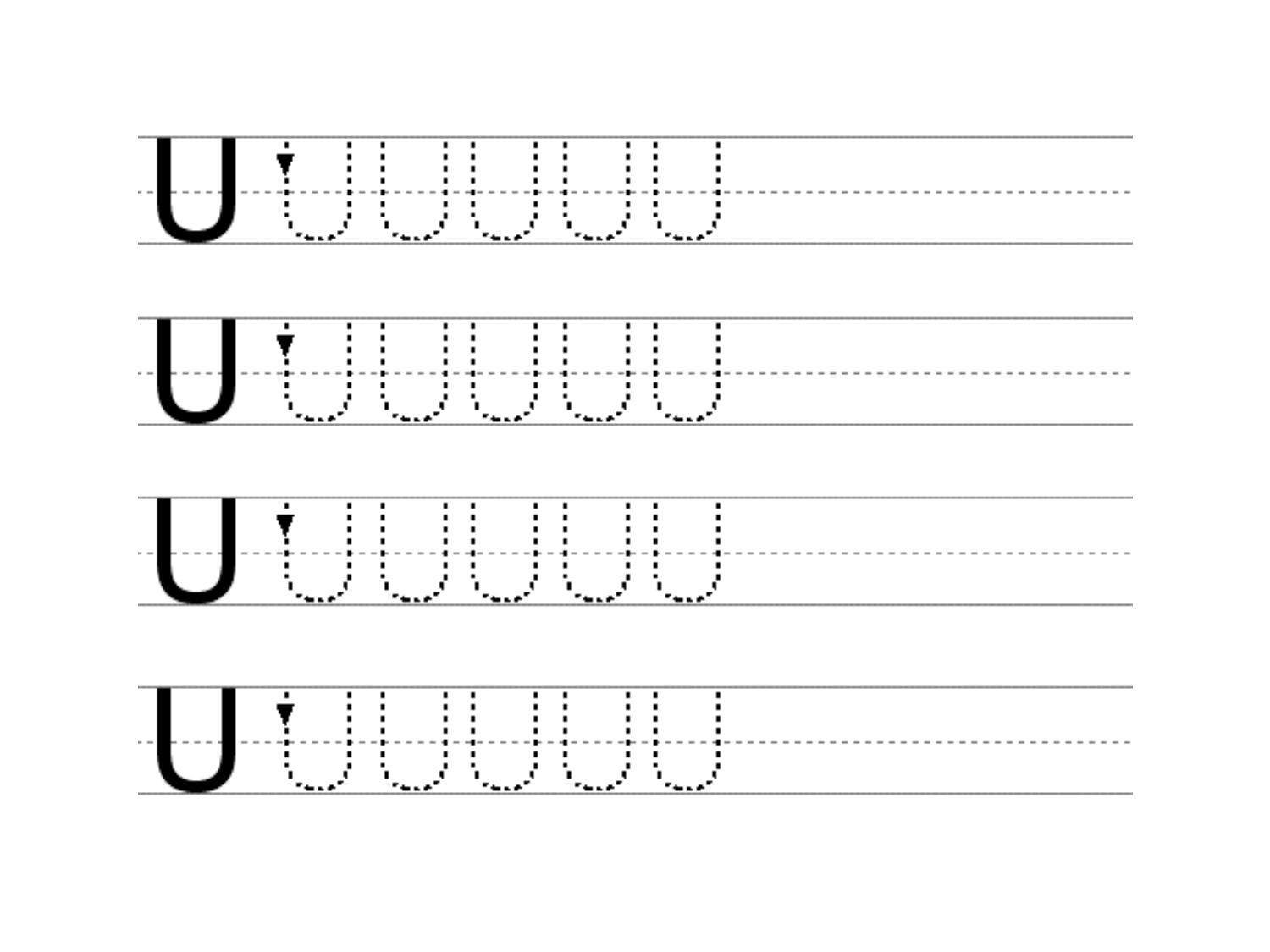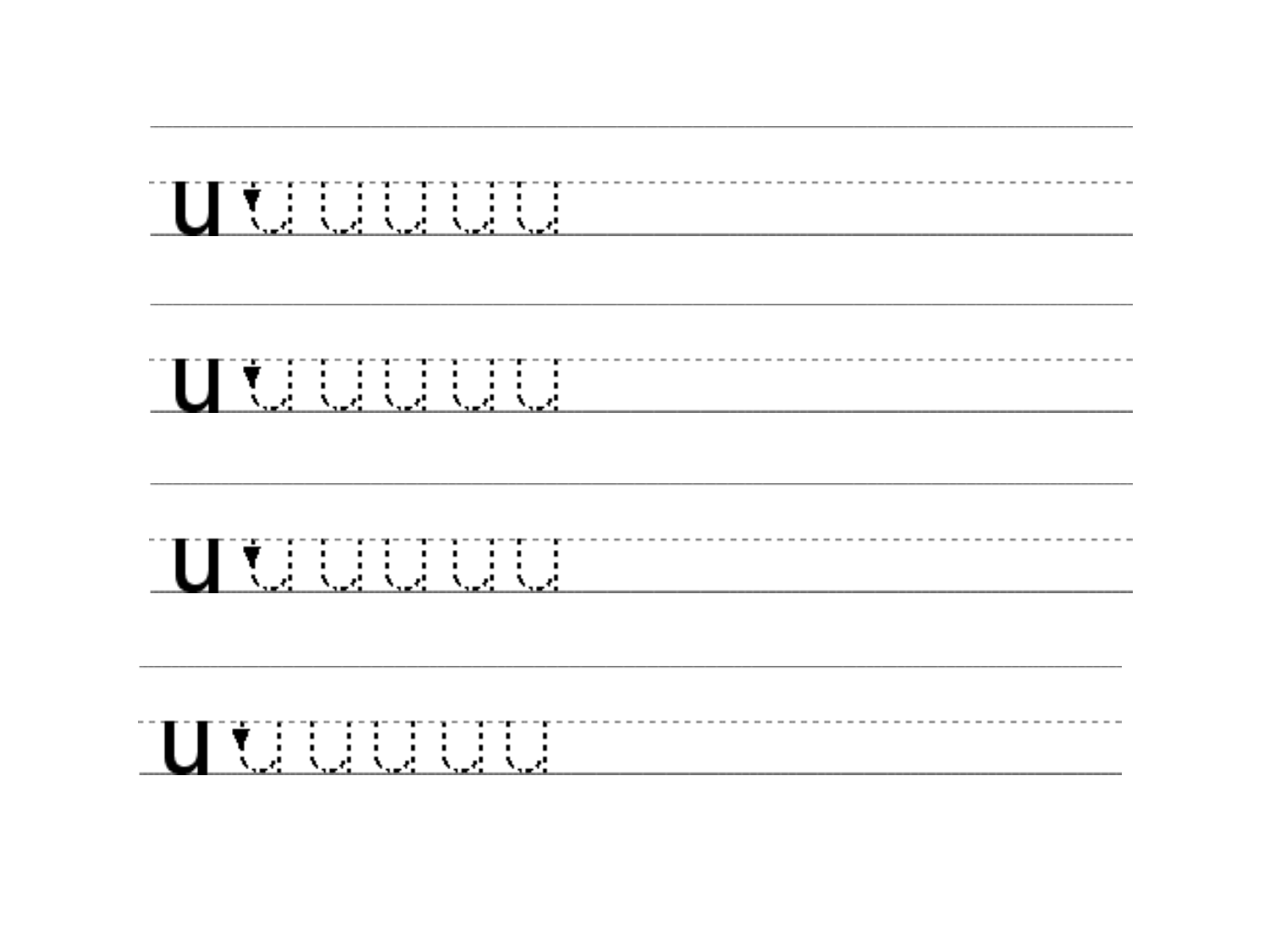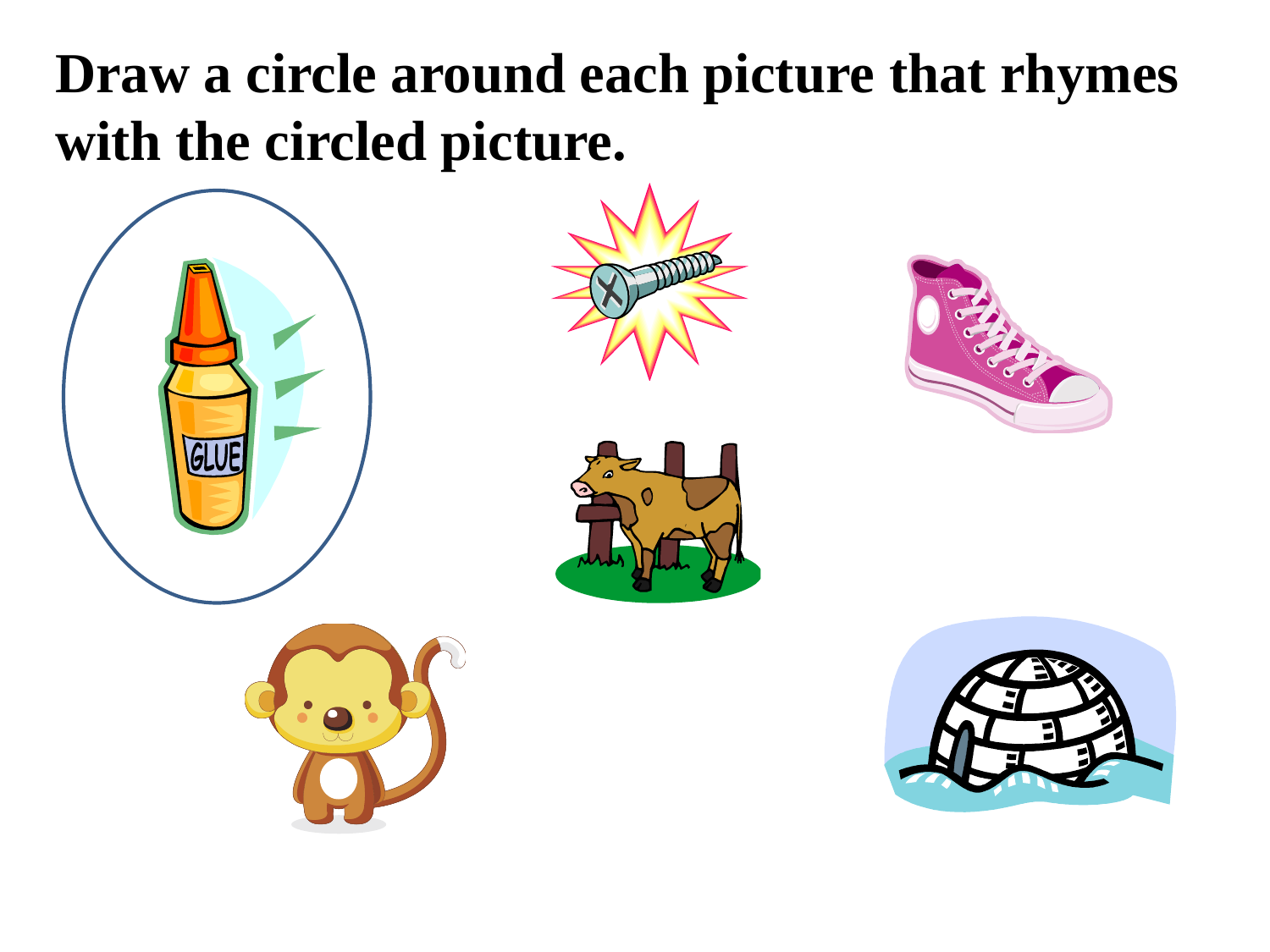## **Draw a circle around each picture that rhymes with the circled picture.**









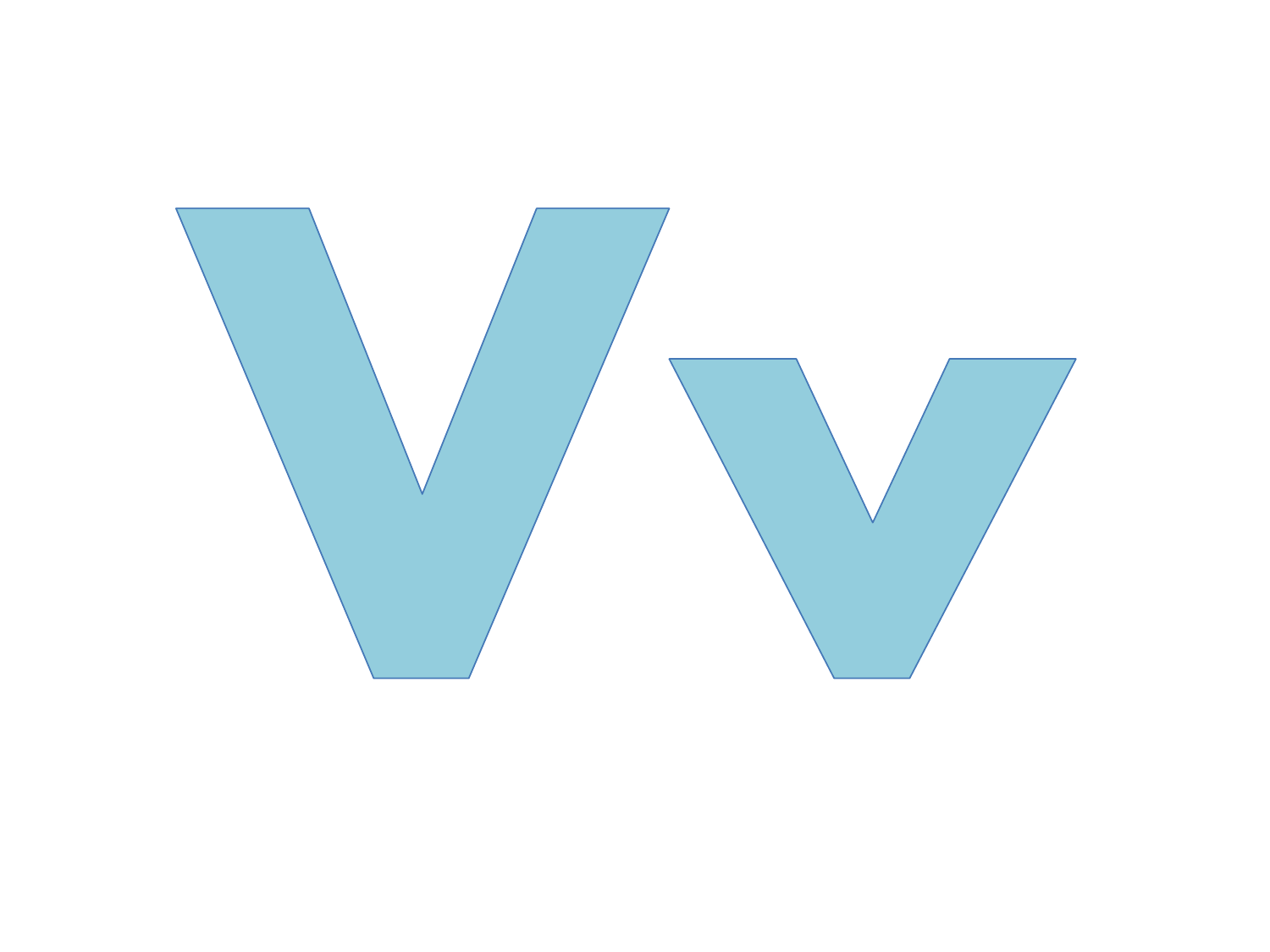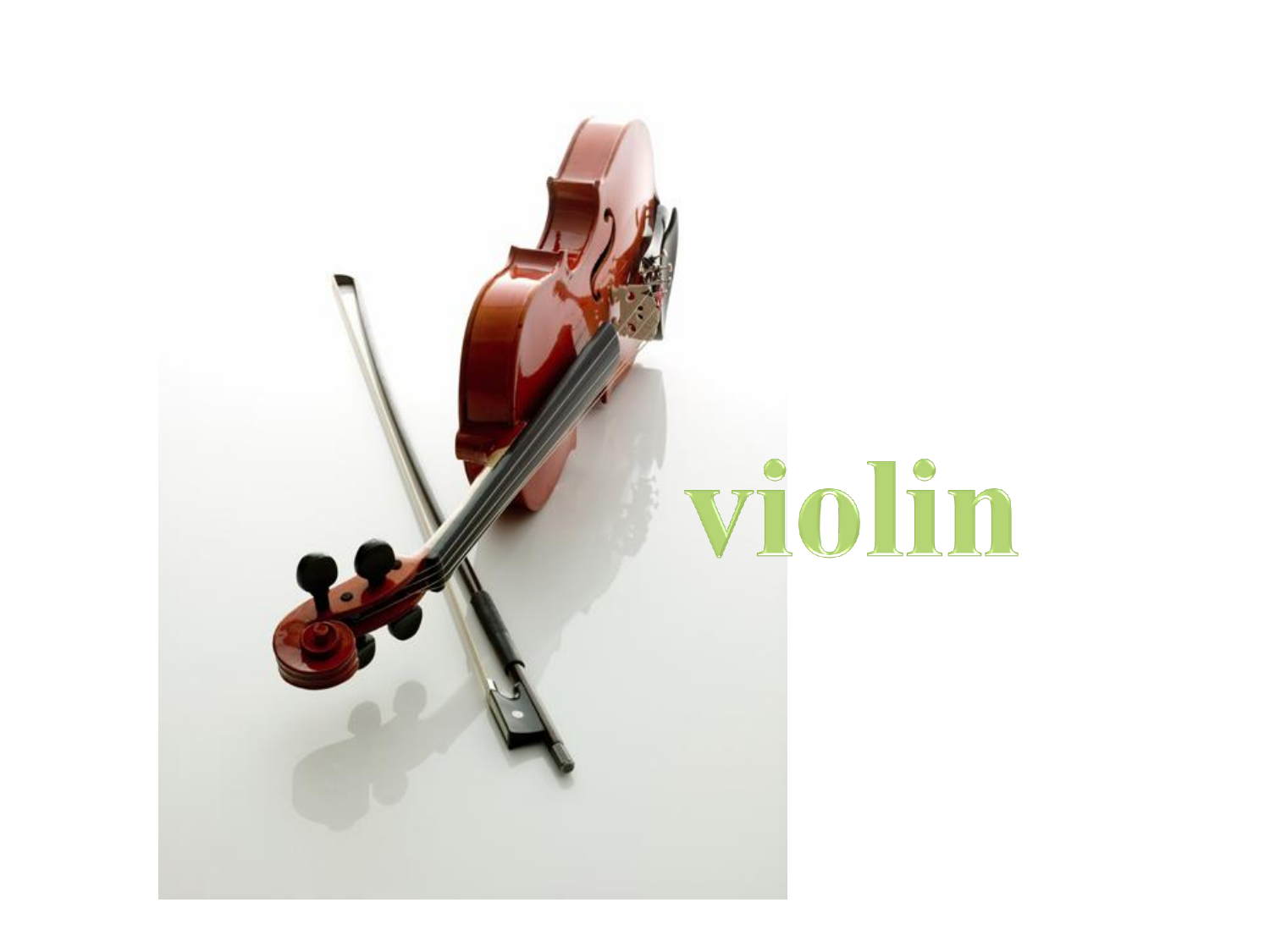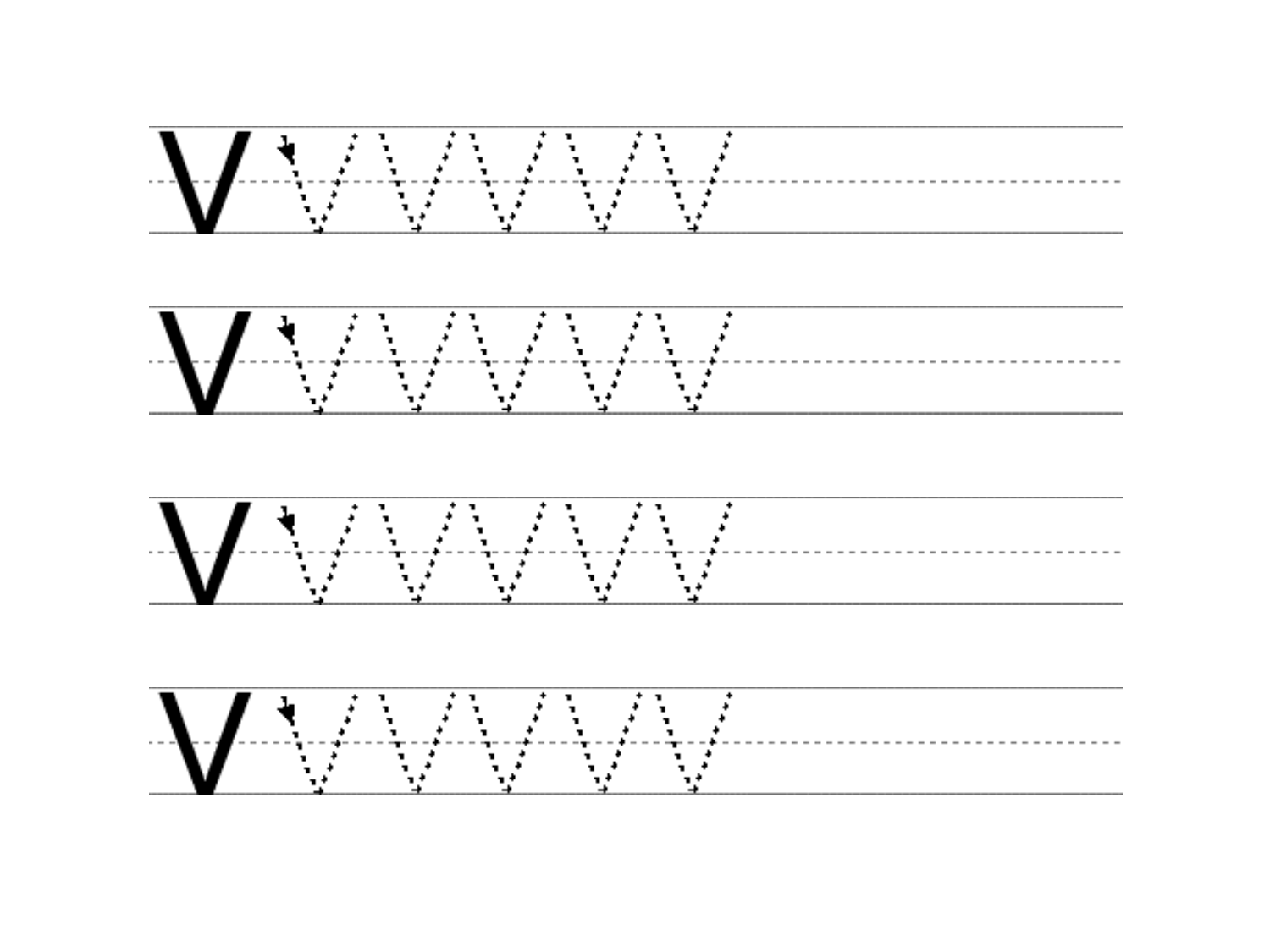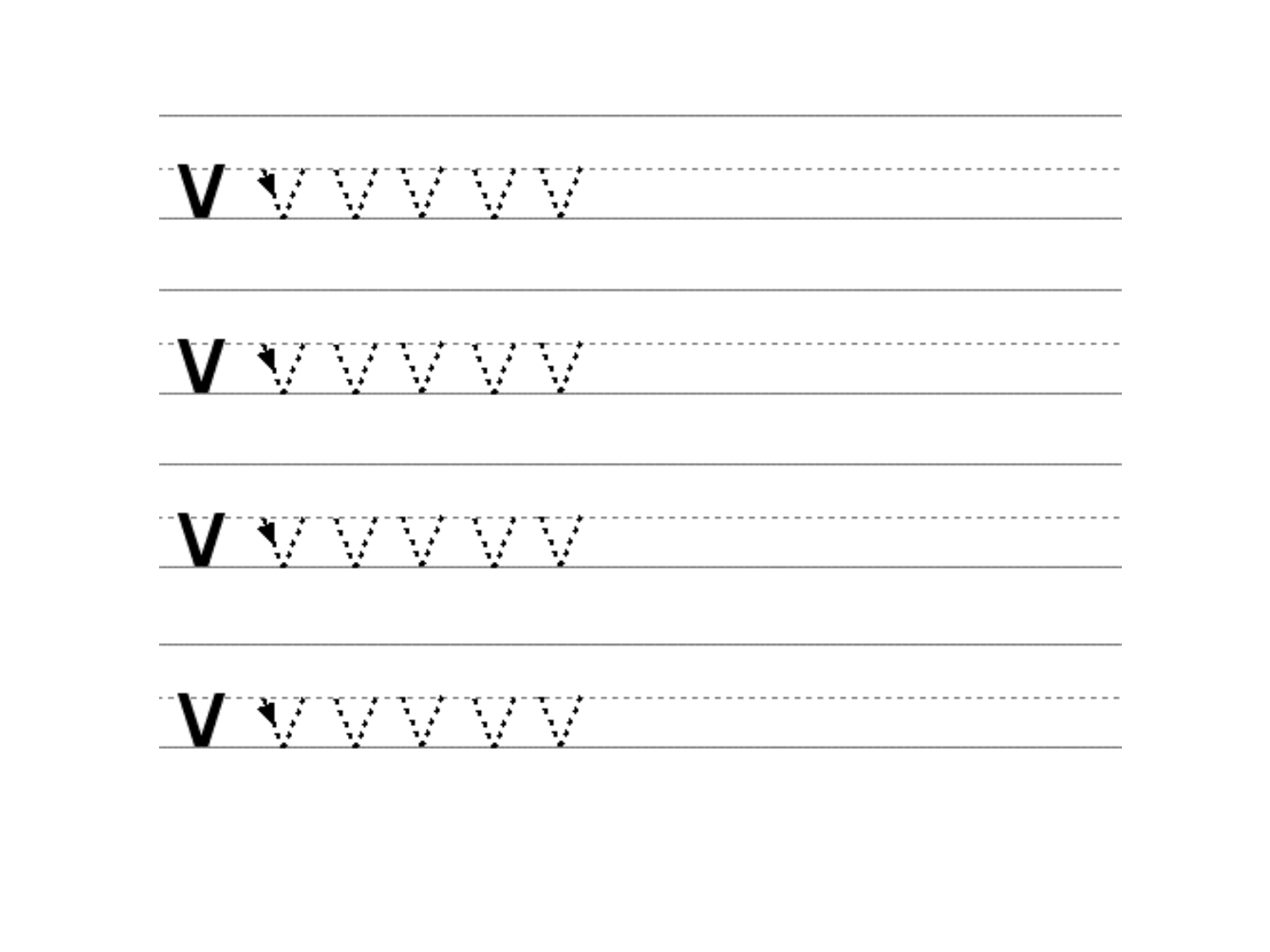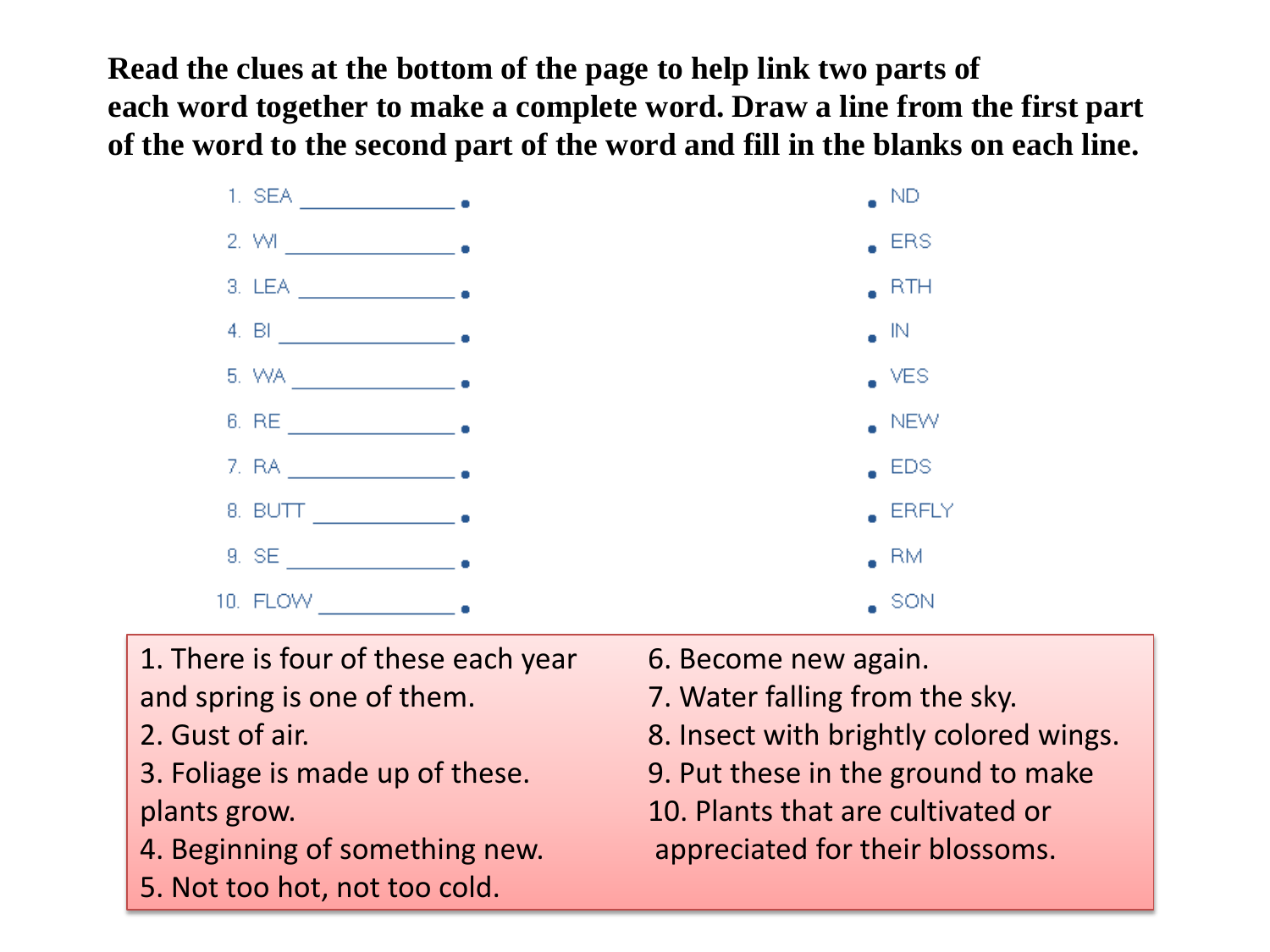**Read the clues at the bottom of the page to help link two parts of each word together to make a complete word. Draw a line from the first part of the word to the second part of the word and fill in the blanks on each line.**



- 1. There is four of these each year 6. Become new again. and spring is one of them. T. Water falling from the sky.
- 
- 
- 4. Beginning of something new. appreciated for their blossoms.
- 5. Not too hot, not too cold.
- 
- 
- 2. Gust of air. The same state of a state of air. A state of air. The state of air state of air state of air state of air state of air state of air state of air state of air state of air state of air state of air state of
- 3. Foliage is made up of these. 9. Put these in the ground to make
- plants grow. 10. Plants that are cultivated or
	-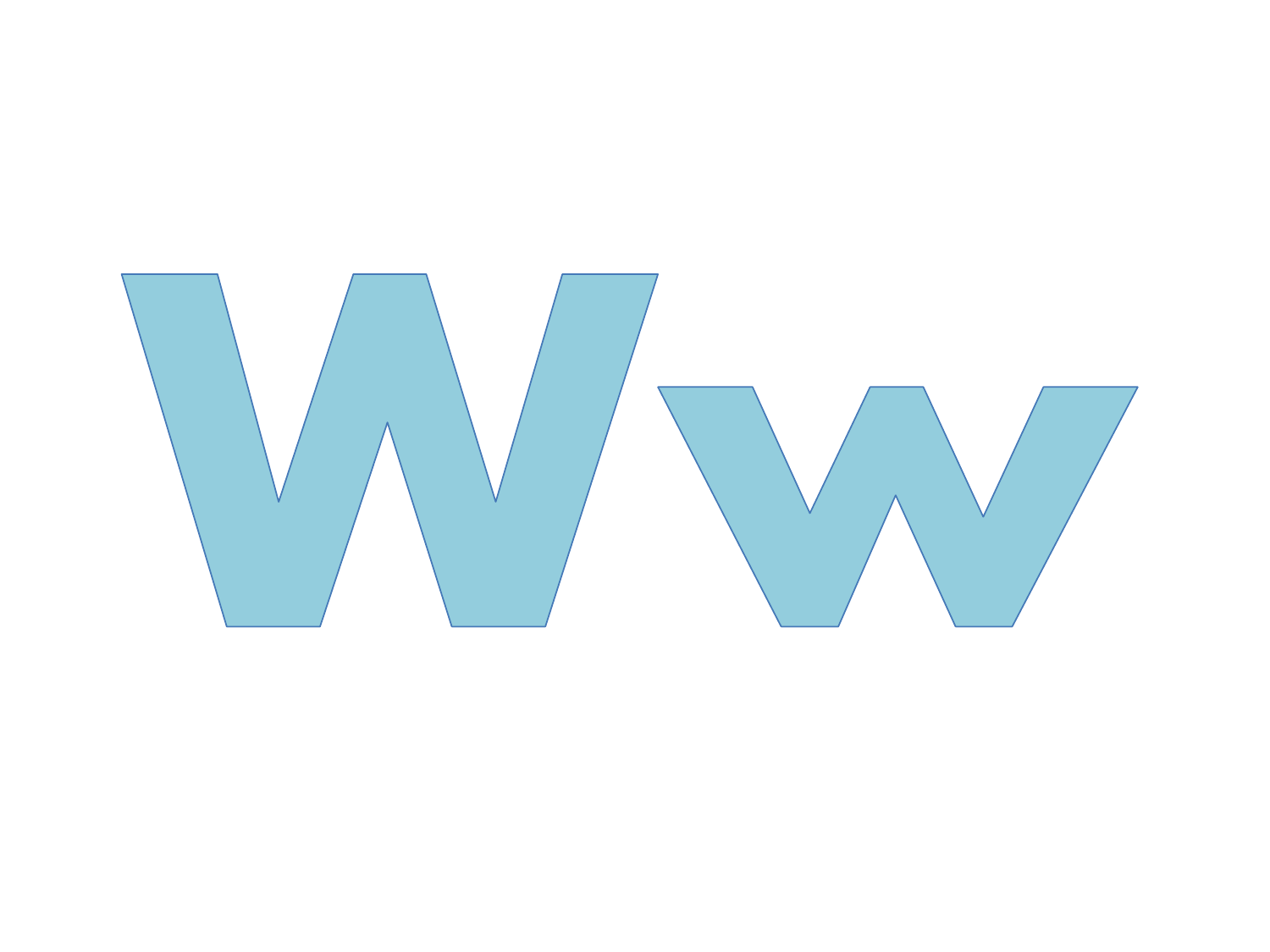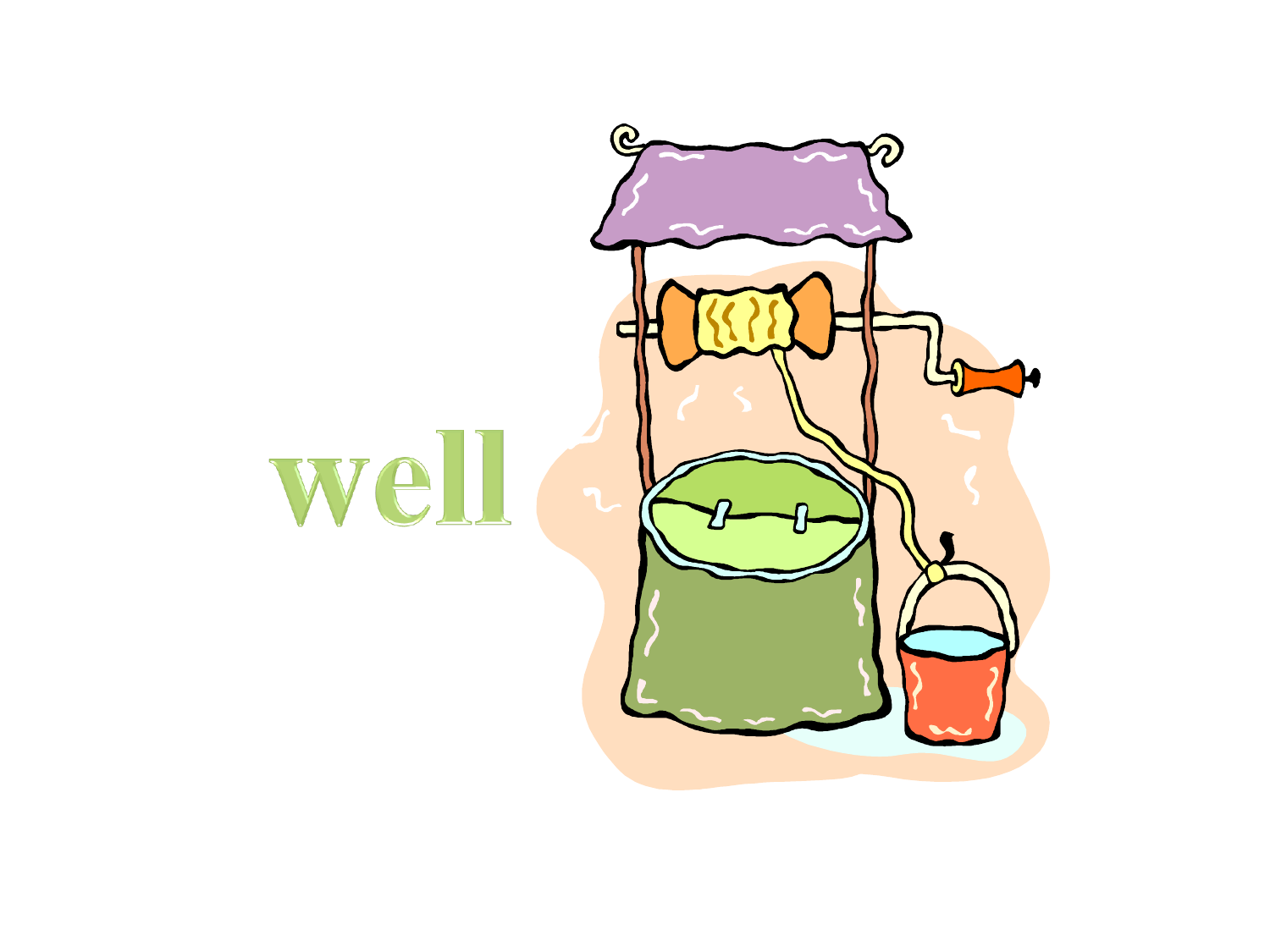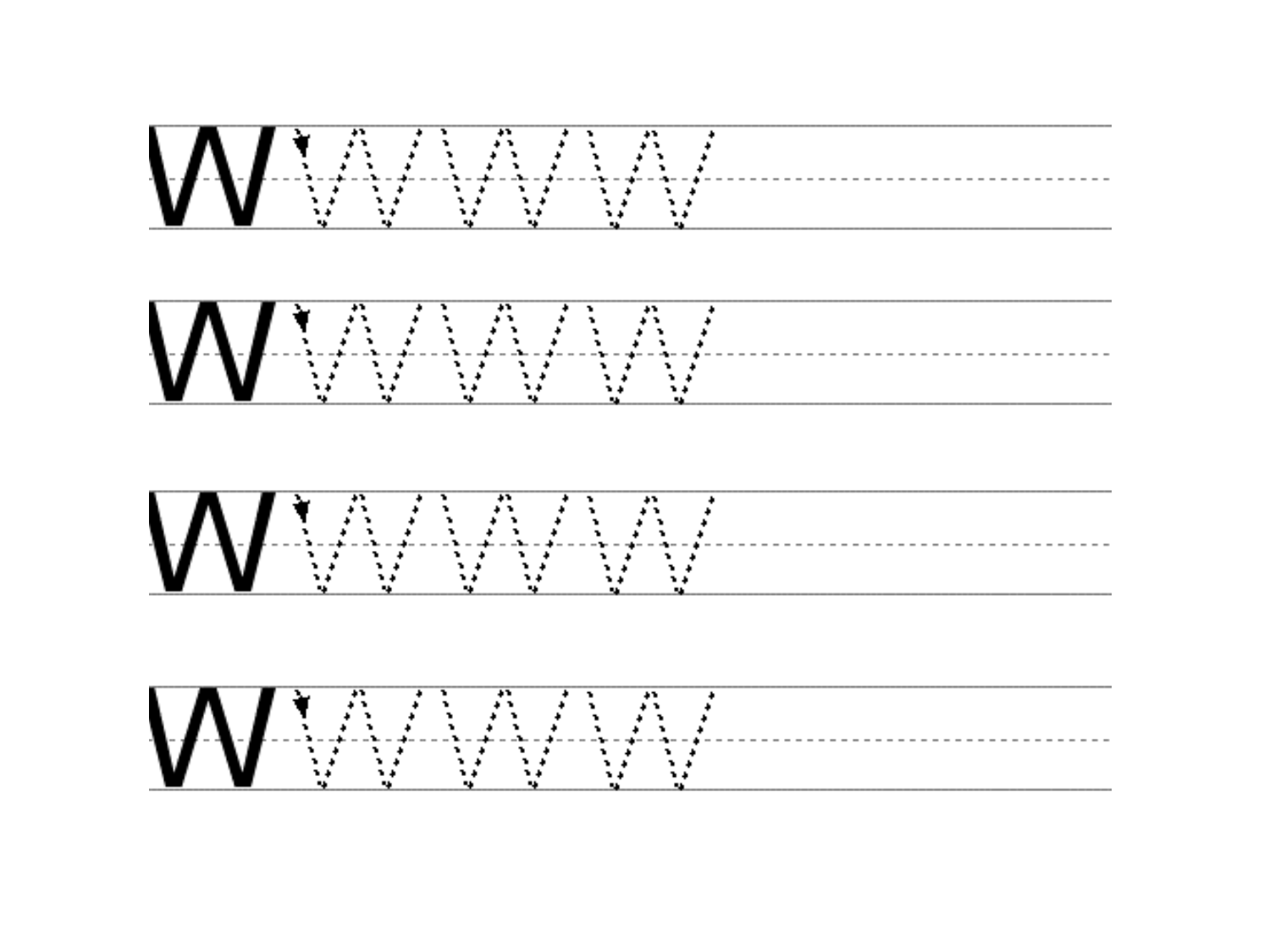|  |  |  |  | .<br>المتواطن والمنافي والمتواطن والمتواطن والمتواطن | <b>Service State</b> |  |  |  |  | where the interesting and interesting and interesting the $\alpha$ |  |
|--|--|--|--|------------------------------------------------------|----------------------|--|--|--|--|--------------------------------------------------------------------|--|
|  |  |  |  |                                                      |                      |  |  |  |  |                                                                    |  |

|  |  |  |  |  | <b>Contract Advised Service</b> | $\label{eq:3.1} \mathbf{A} = \mathbf{A} + \mathbf{A} + \mathbf{A} + \mathbf{A} + \mathbf{A} + \mathbf{A} + \mathbf{A} + \mathbf{A} + \mathbf{A} + \mathbf{A} + \mathbf{A} + \mathbf{A} + \mathbf{A} + \mathbf{A} + \mathbf{A} + \mathbf{A} + \mathbf{A} + \mathbf{A} + \mathbf{A} + \mathbf{A} + \mathbf{A} + \mathbf{A} + \mathbf{A} + \mathbf{A} + \mathbf{A} + \mathbf{A} + \mathbf{A} + \mathbf{A} + \mathbf{A} + \$ |  |  |  | and the state of the state of the state of the state of the state of the state of the state of the state of the |  |  | - 11 |  |  |  |  |  |  |  |  |  |  |  |  |  |  |  |  |  |
|--|--|--|--|--|---------------------------------|--------------------------------------------------------------------------------------------------------------------------------------------------------------------------------------------------------------------------------------------------------------------------------------------------------------------------------------------------------------------------------------------------------------------------|--|--|--|-----------------------------------------------------------------------------------------------------------------|--|--|------|--|--|--|--|--|--|--|--|--|--|--|--|--|--|--|--|--|
|--|--|--|--|--|---------------------------------|--------------------------------------------------------------------------------------------------------------------------------------------------------------------------------------------------------------------------------------------------------------------------------------------------------------------------------------------------------------------------------------------------------------------------|--|--|--|-----------------------------------------------------------------------------------------------------------------|--|--|------|--|--|--|--|--|--|--|--|--|--|--|--|--|--|--|--|--|

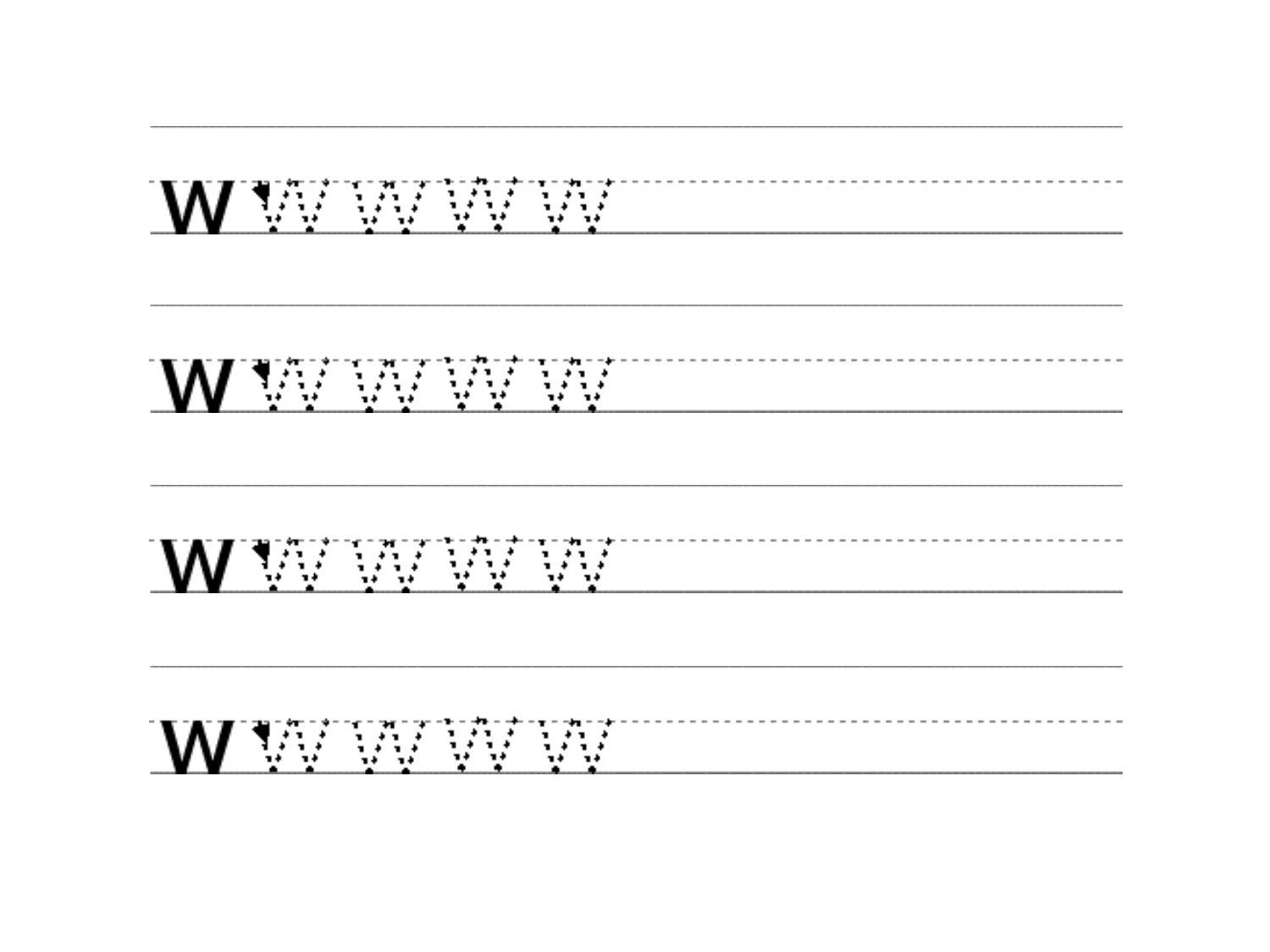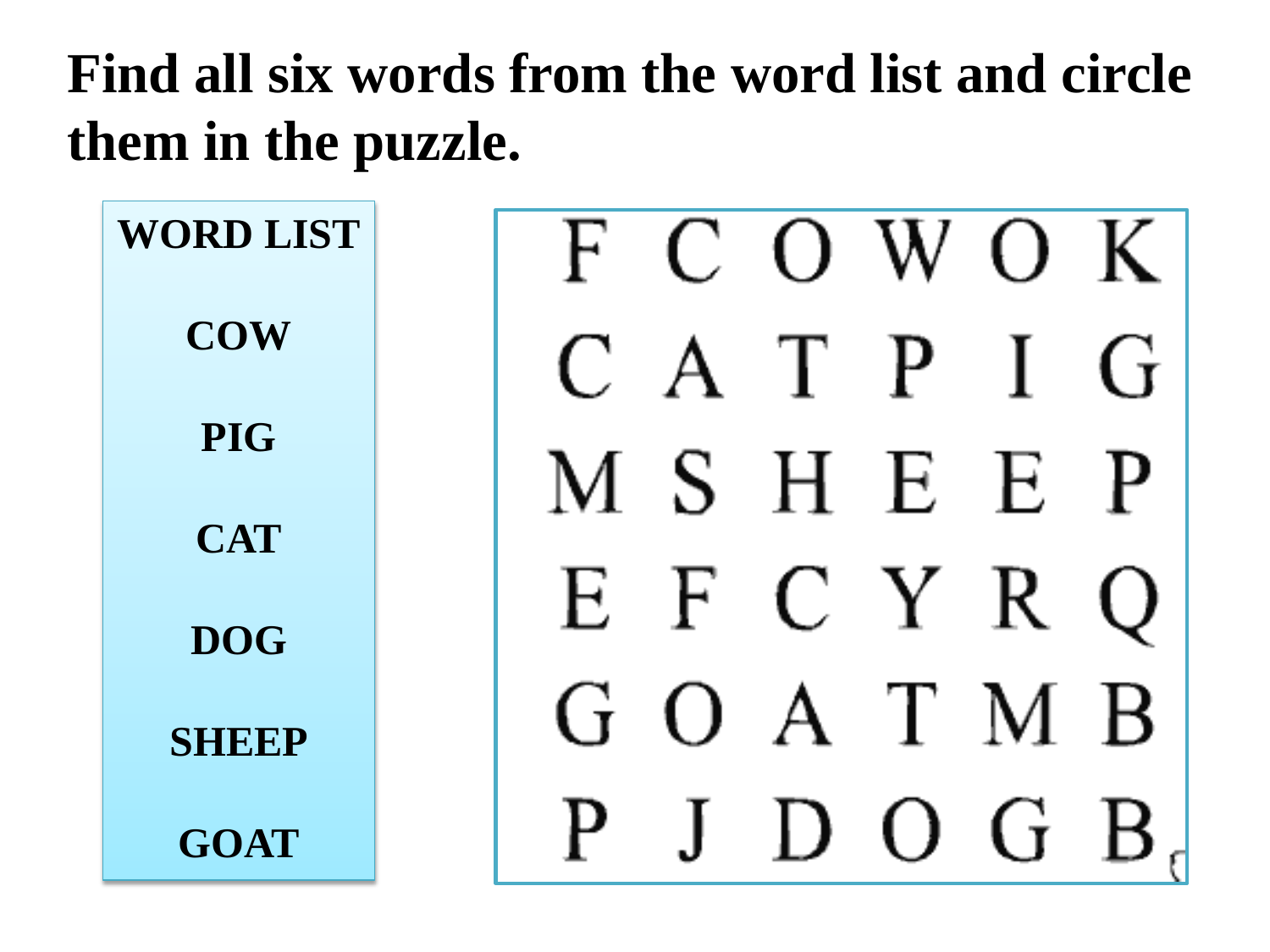## **Find all six words from the word list and circle them in the puzzle.**

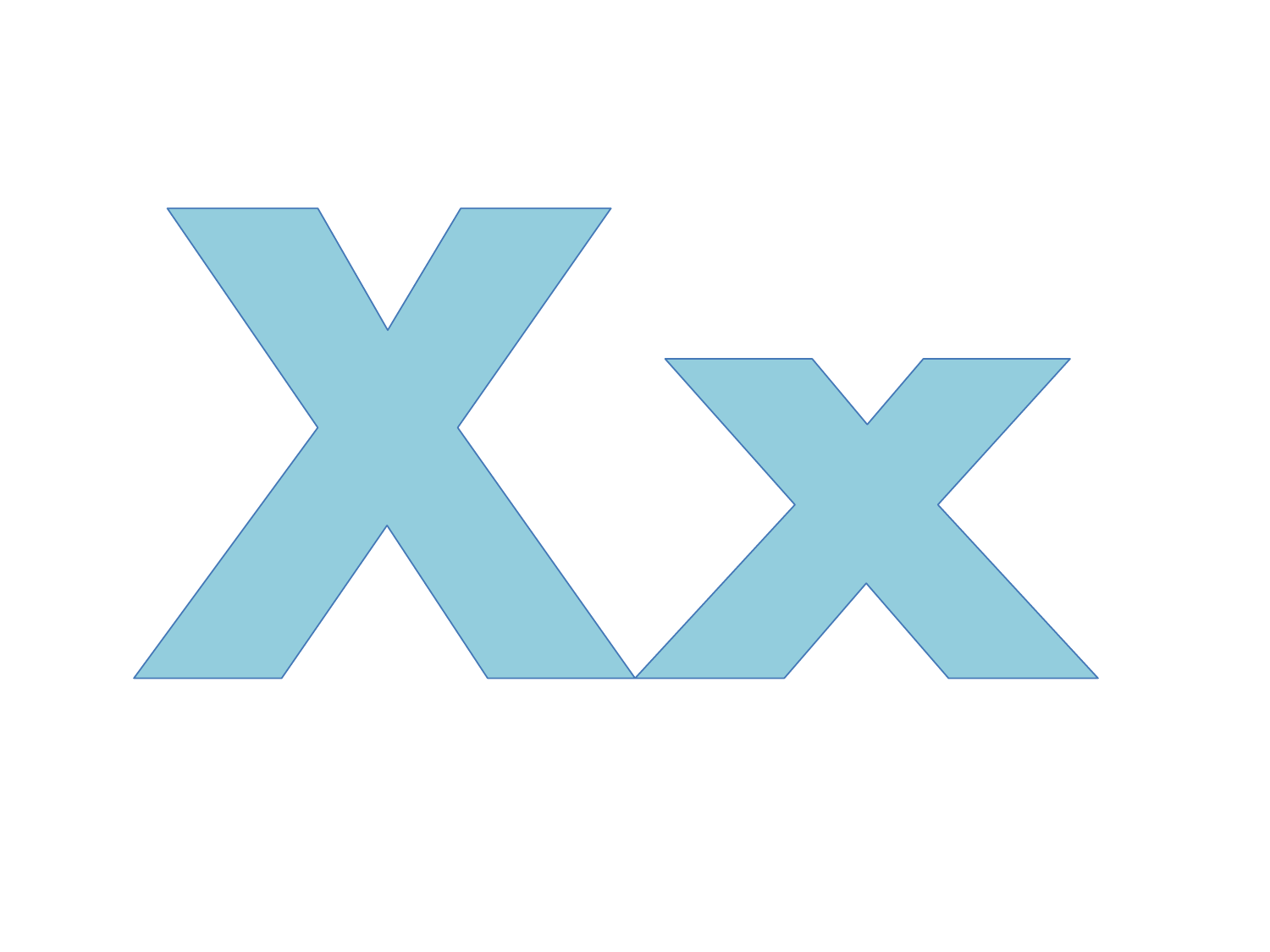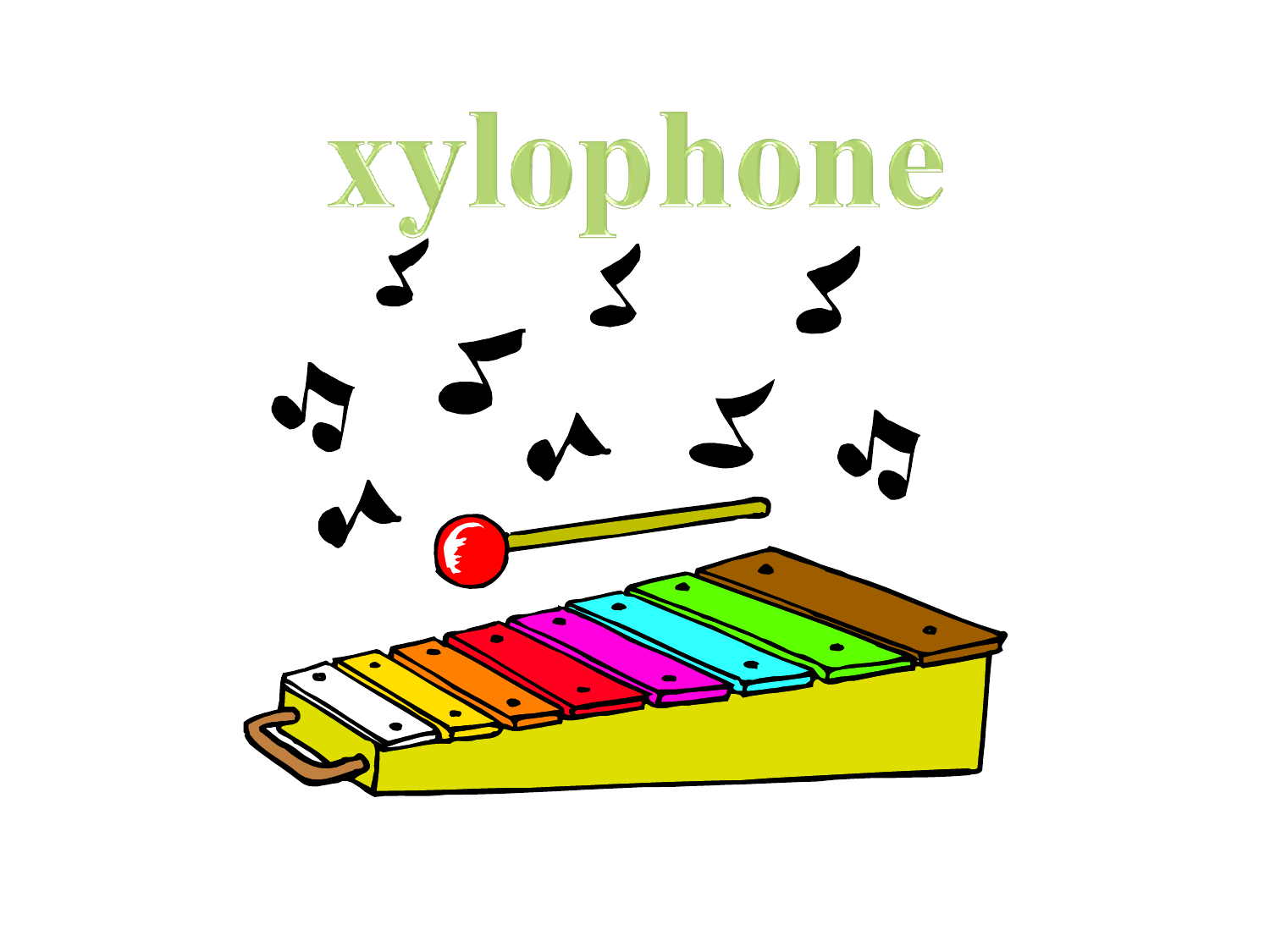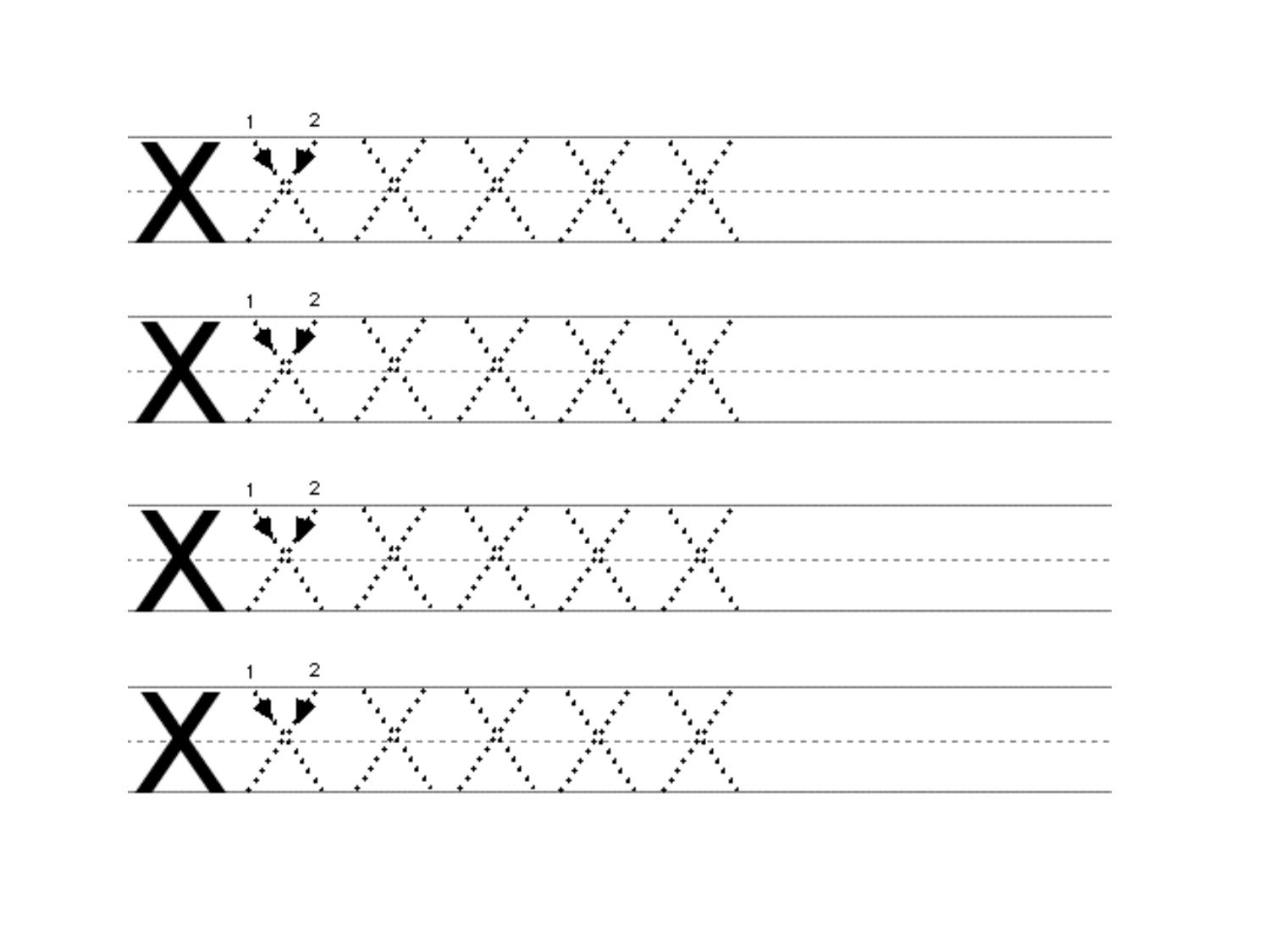



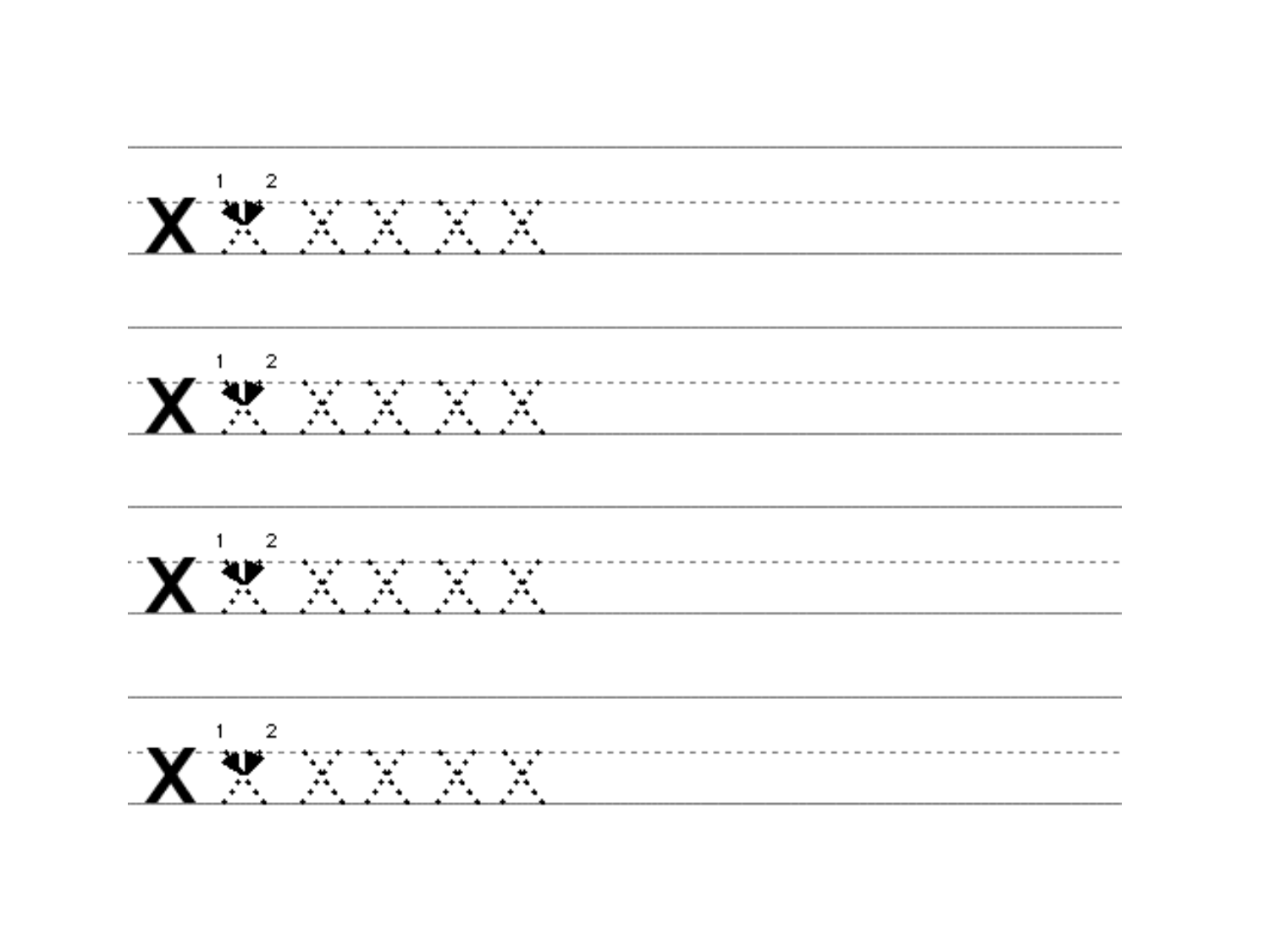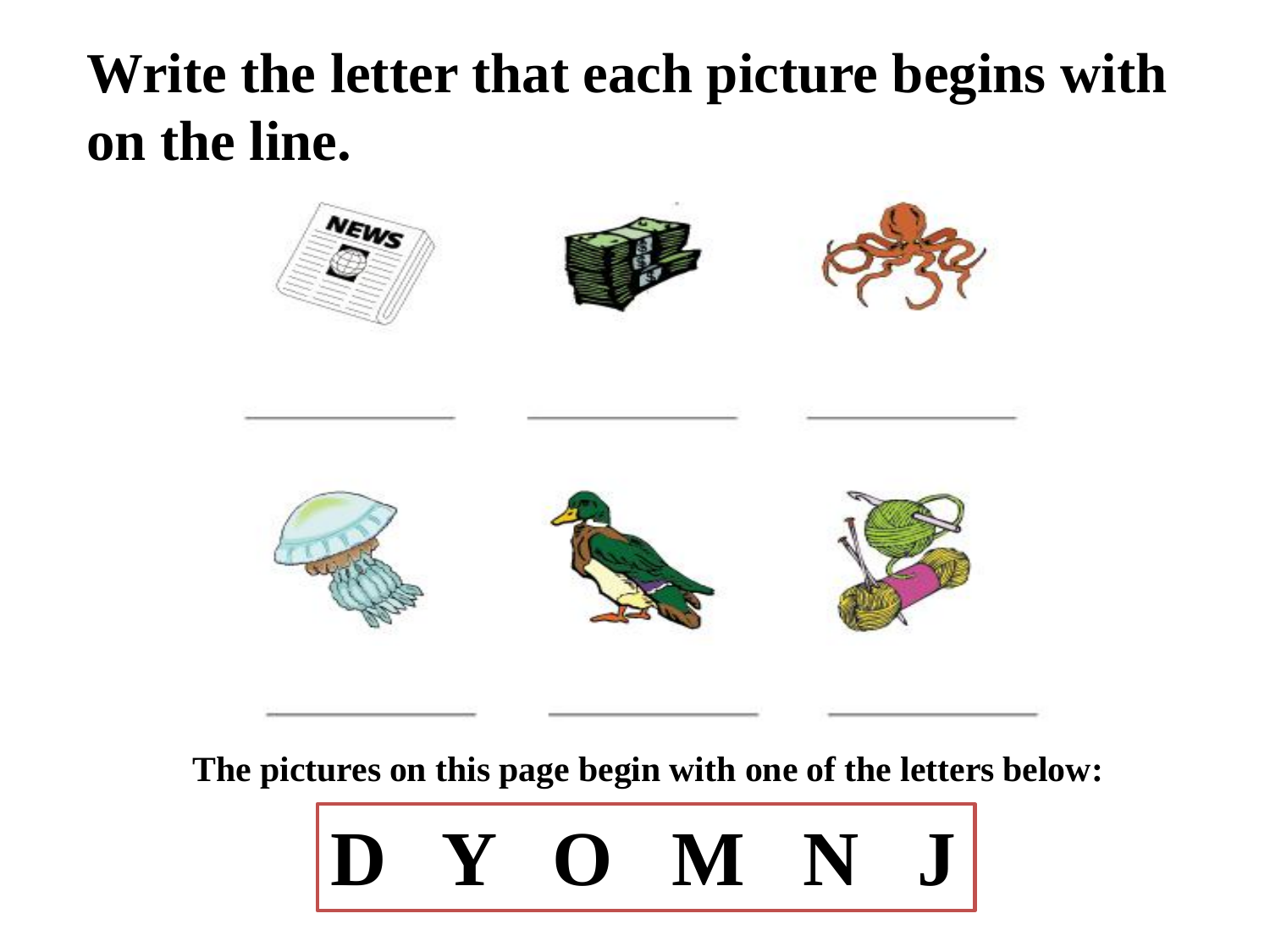## **Write the letter that each picture begins with on the line.**



**The pictures on this page begin with one of the letters below:** 

## **D Y O M N J**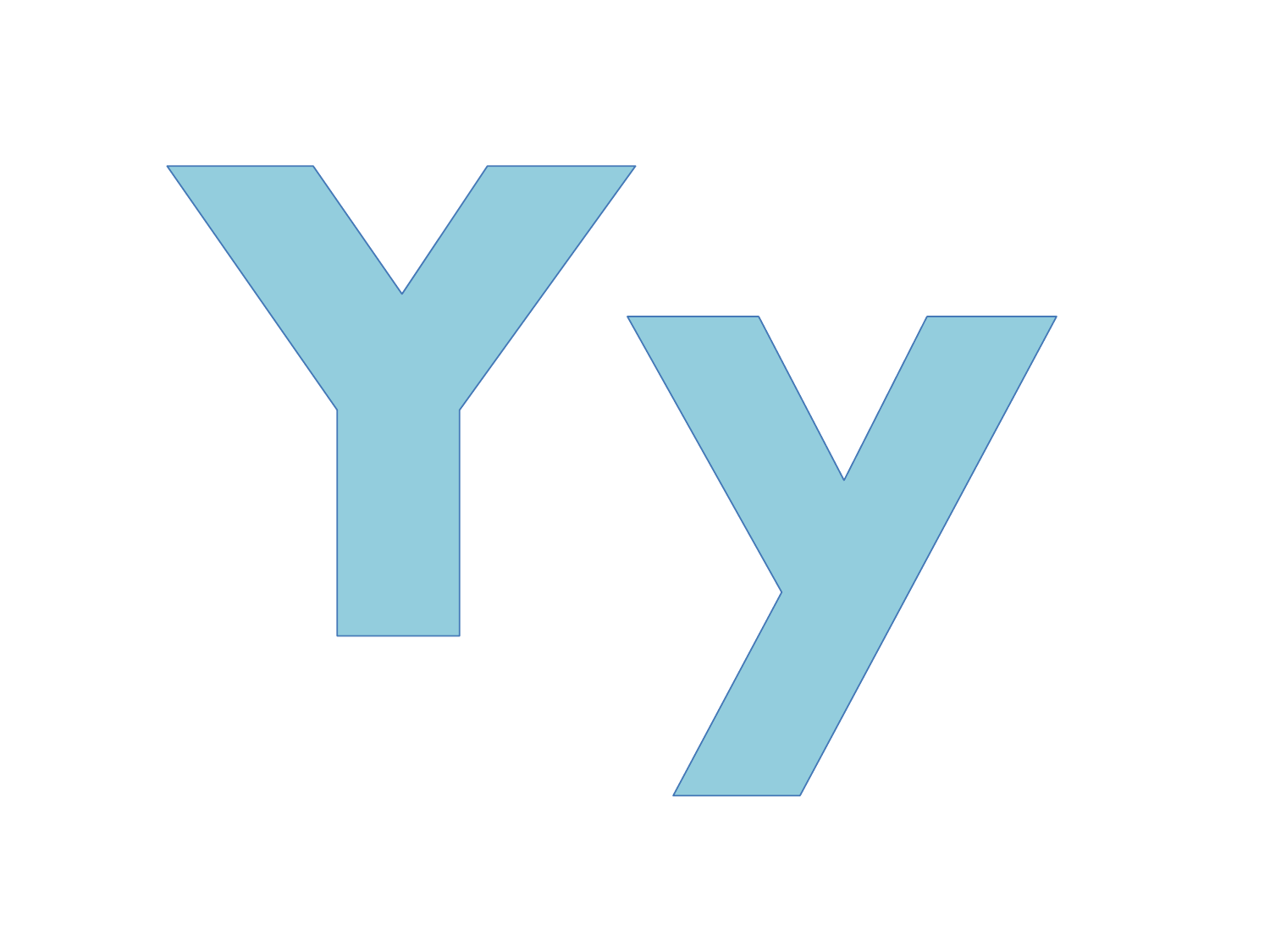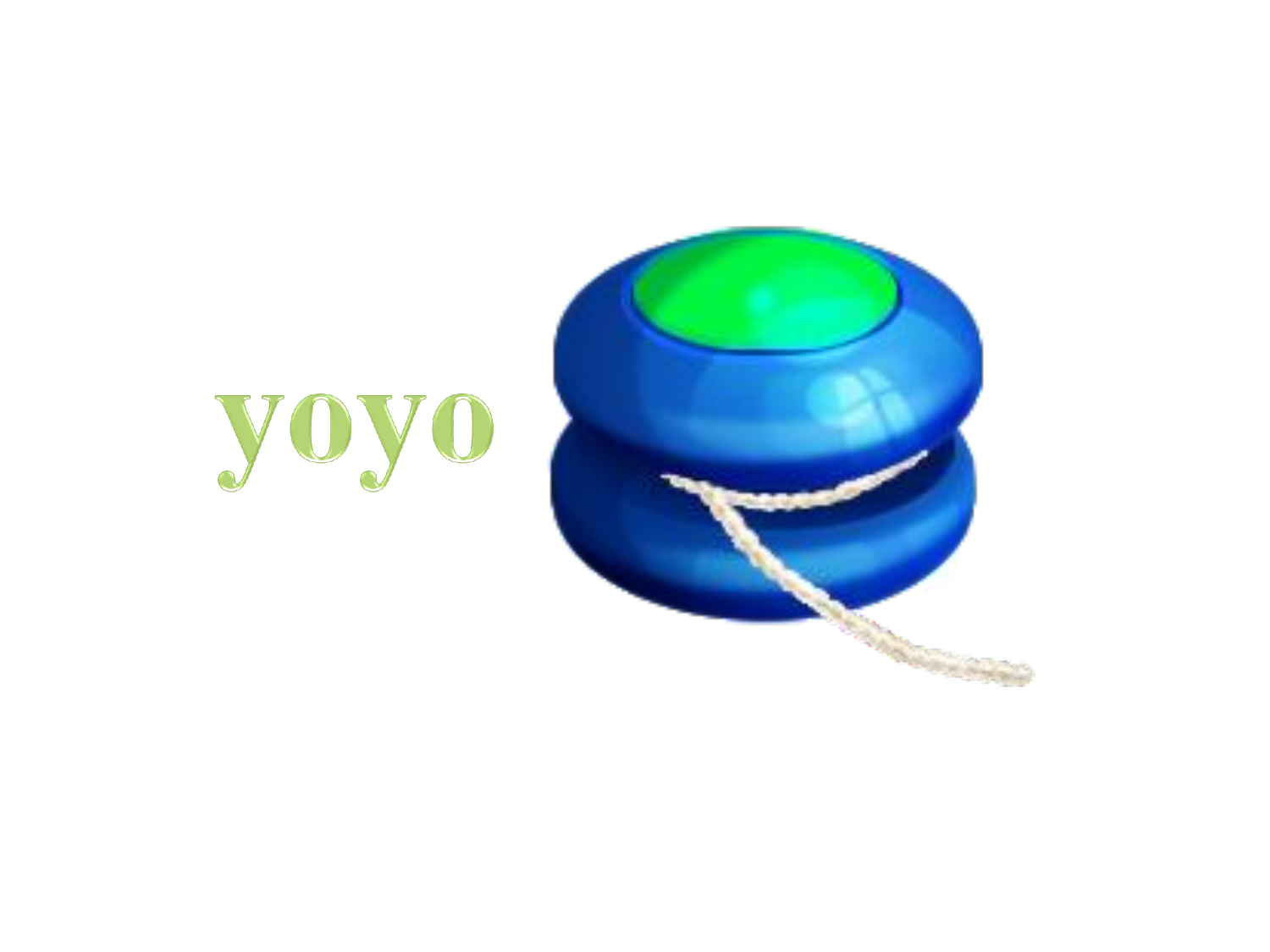

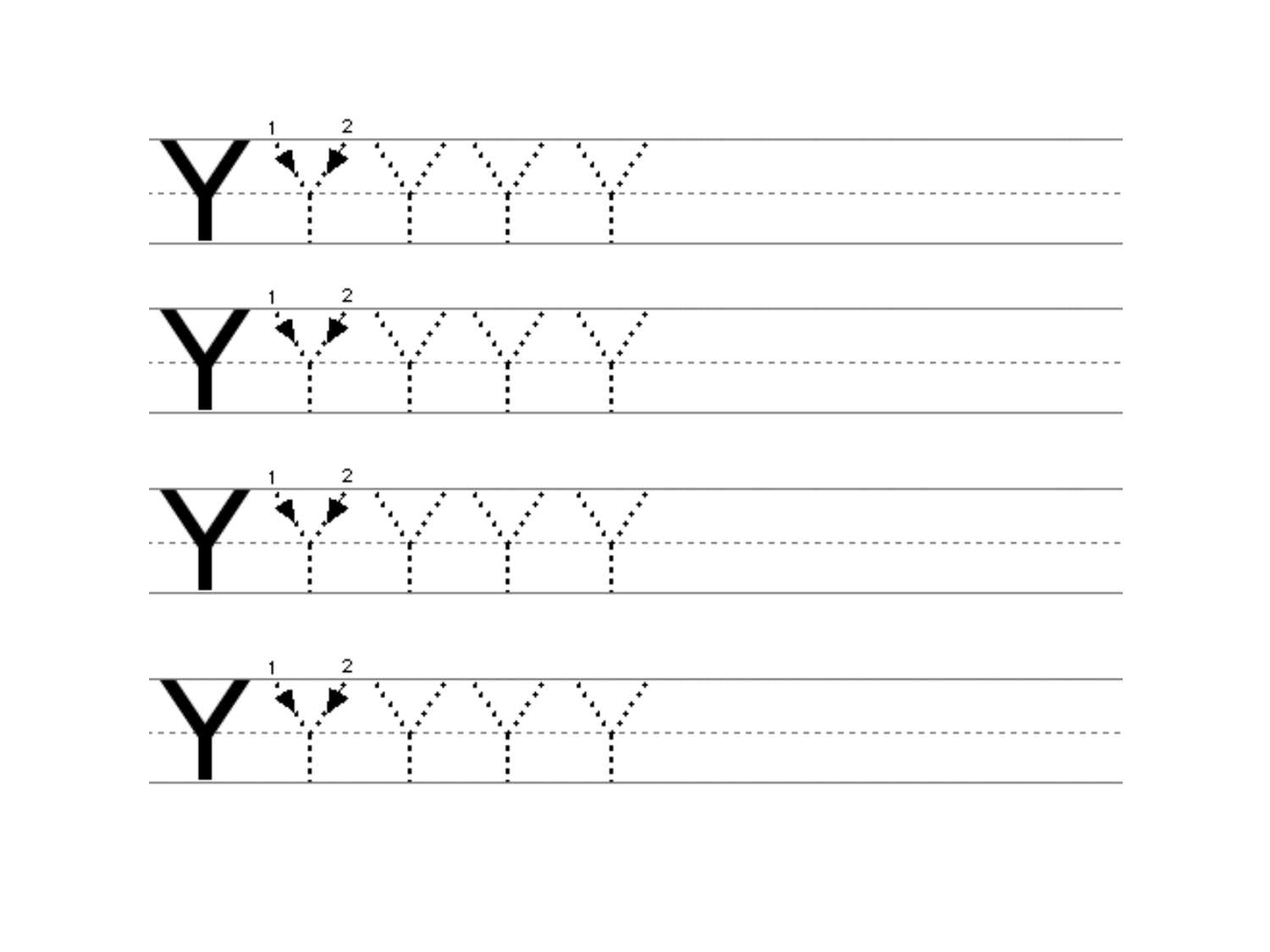





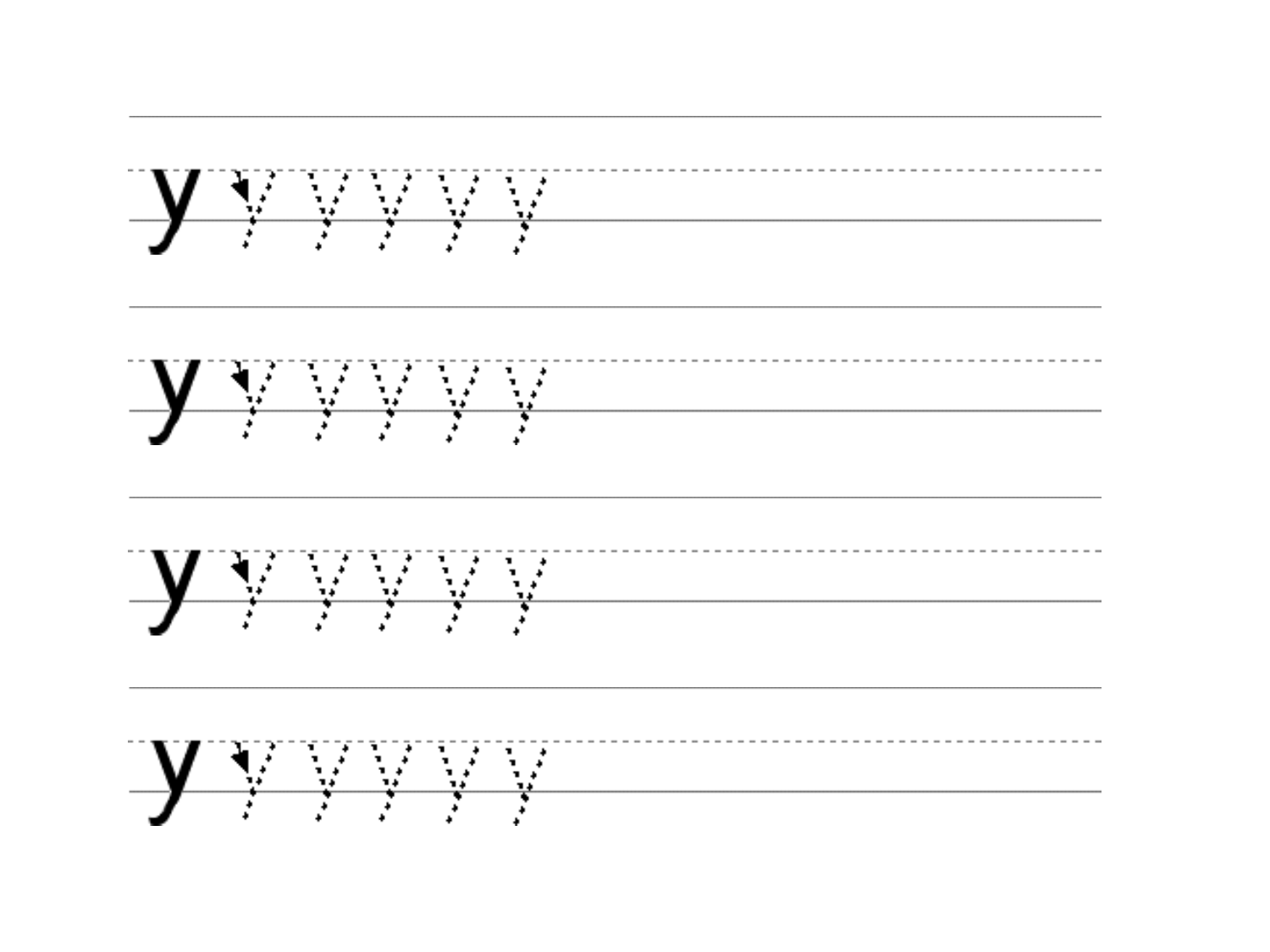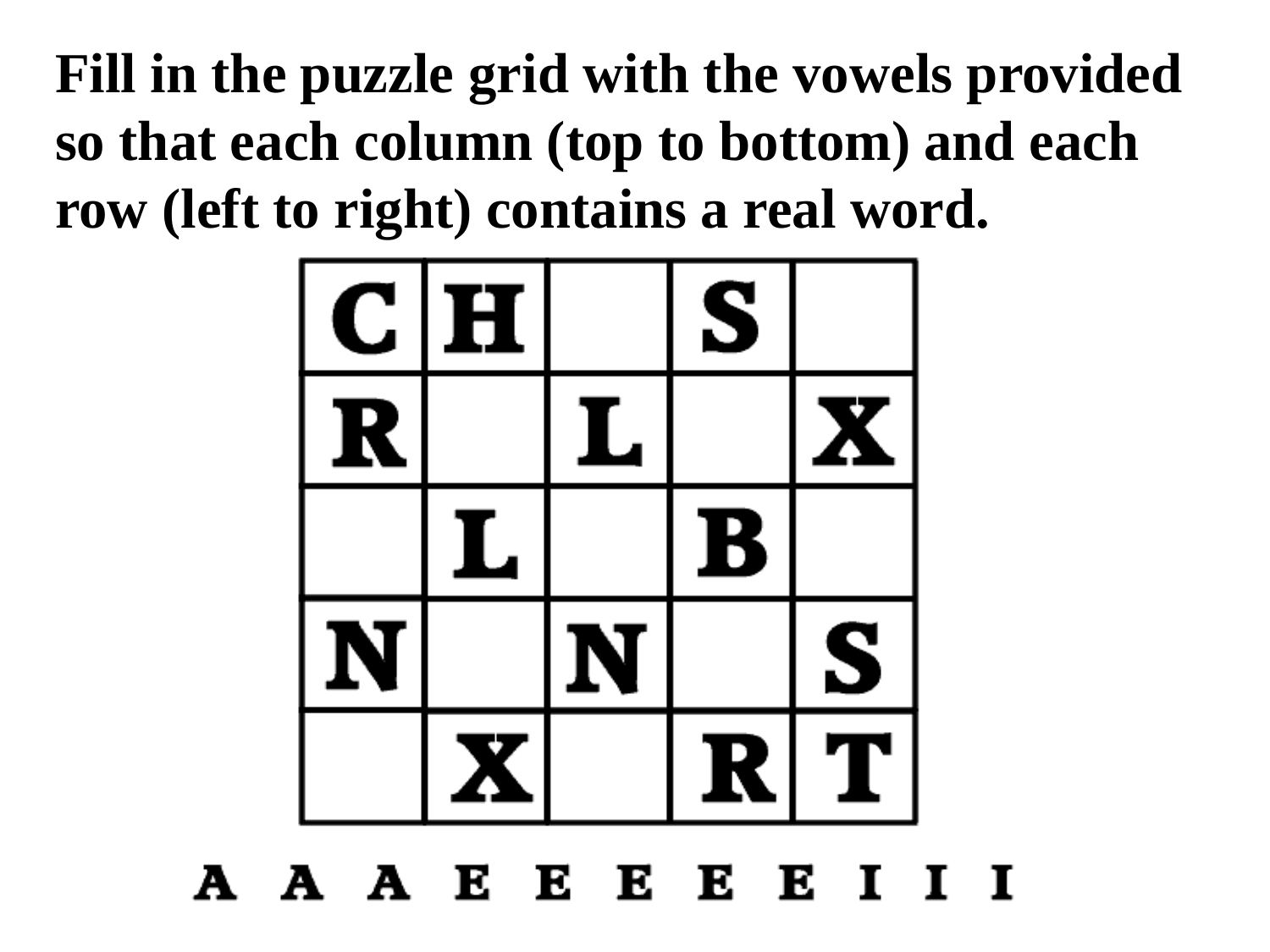**Fill in the puzzle grid with the vowels provided so that each column (top to bottom) and each row (left to right) contains a real word.**



#### A A A E E E E E I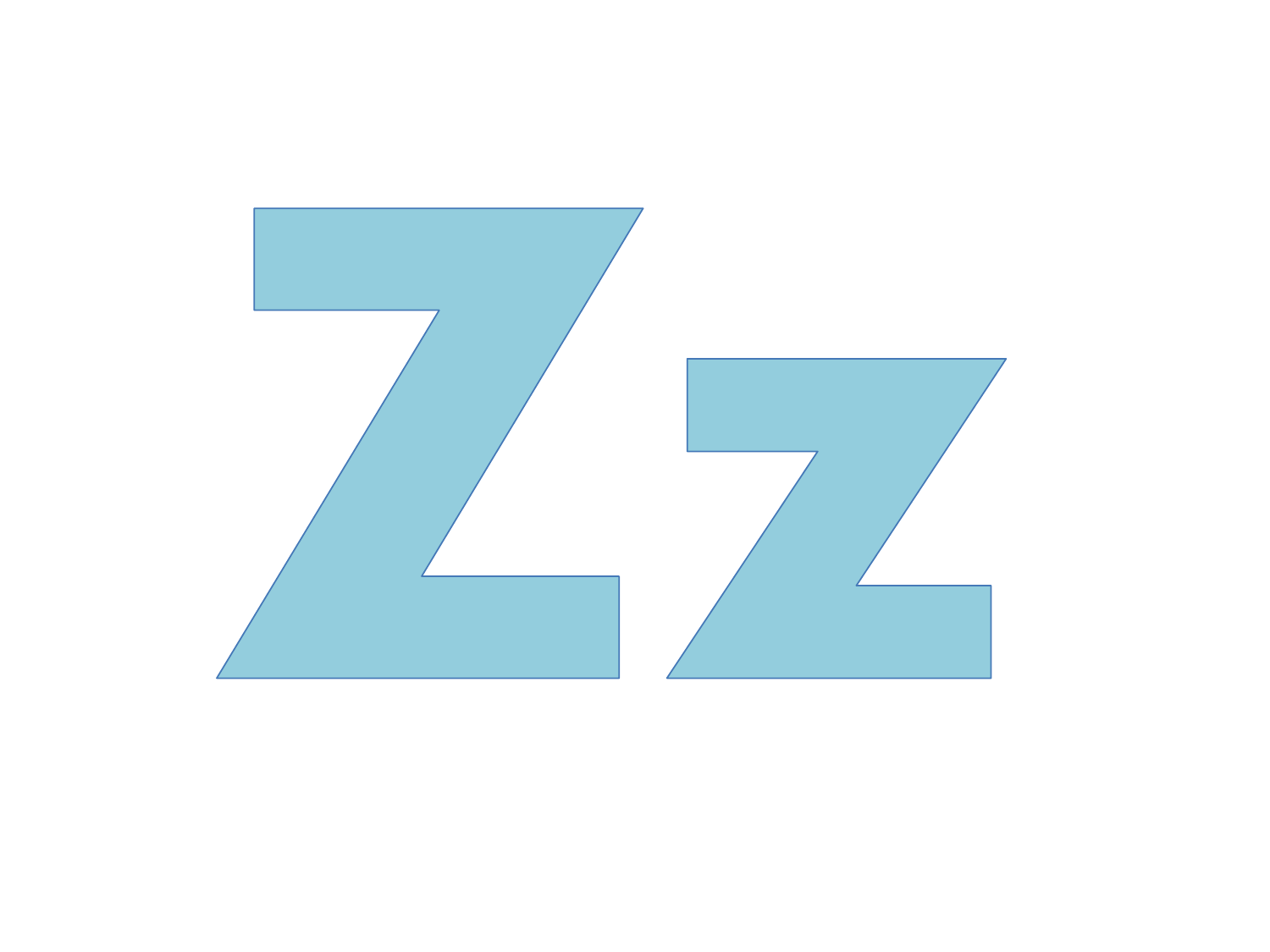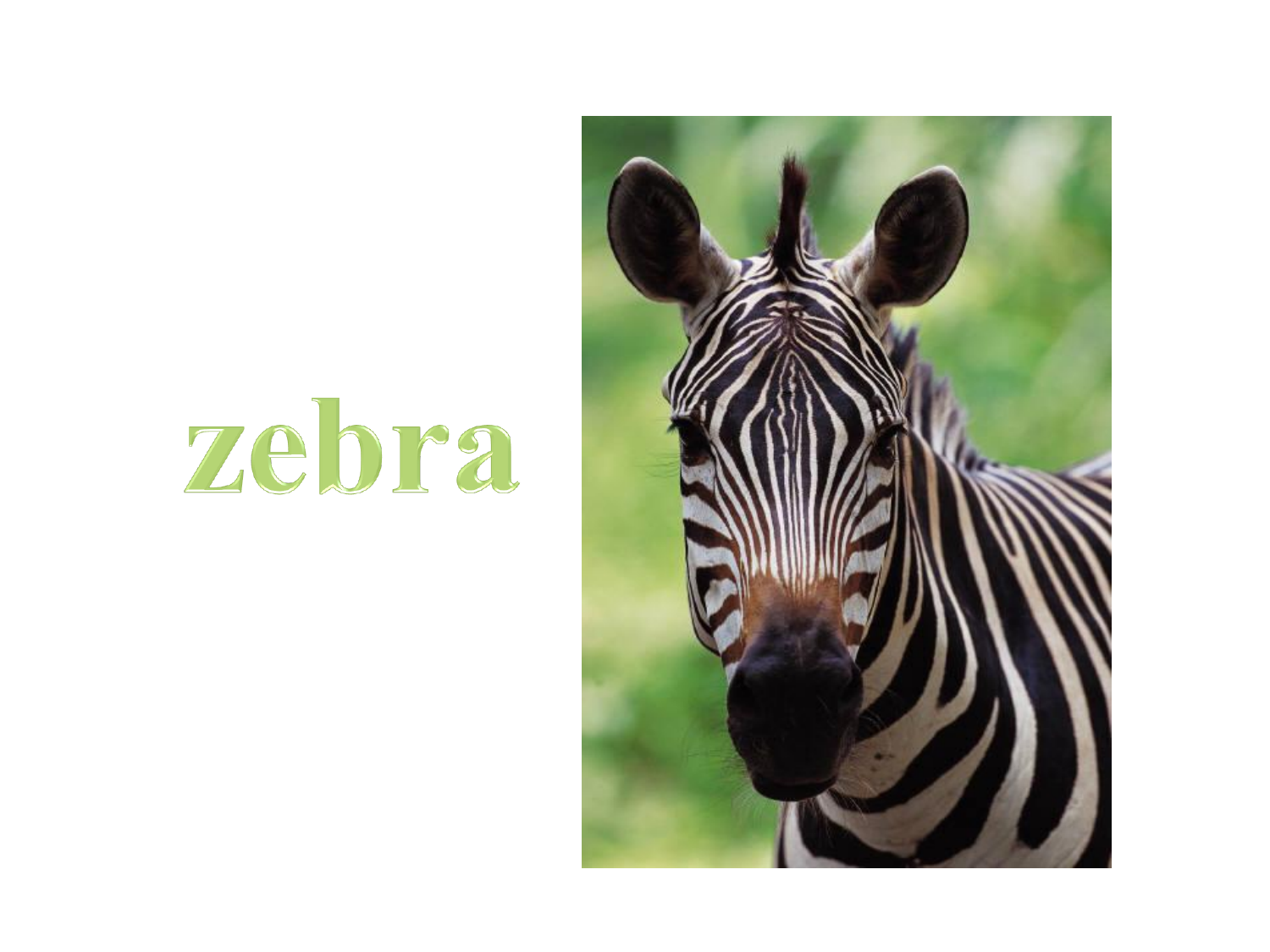# zebra

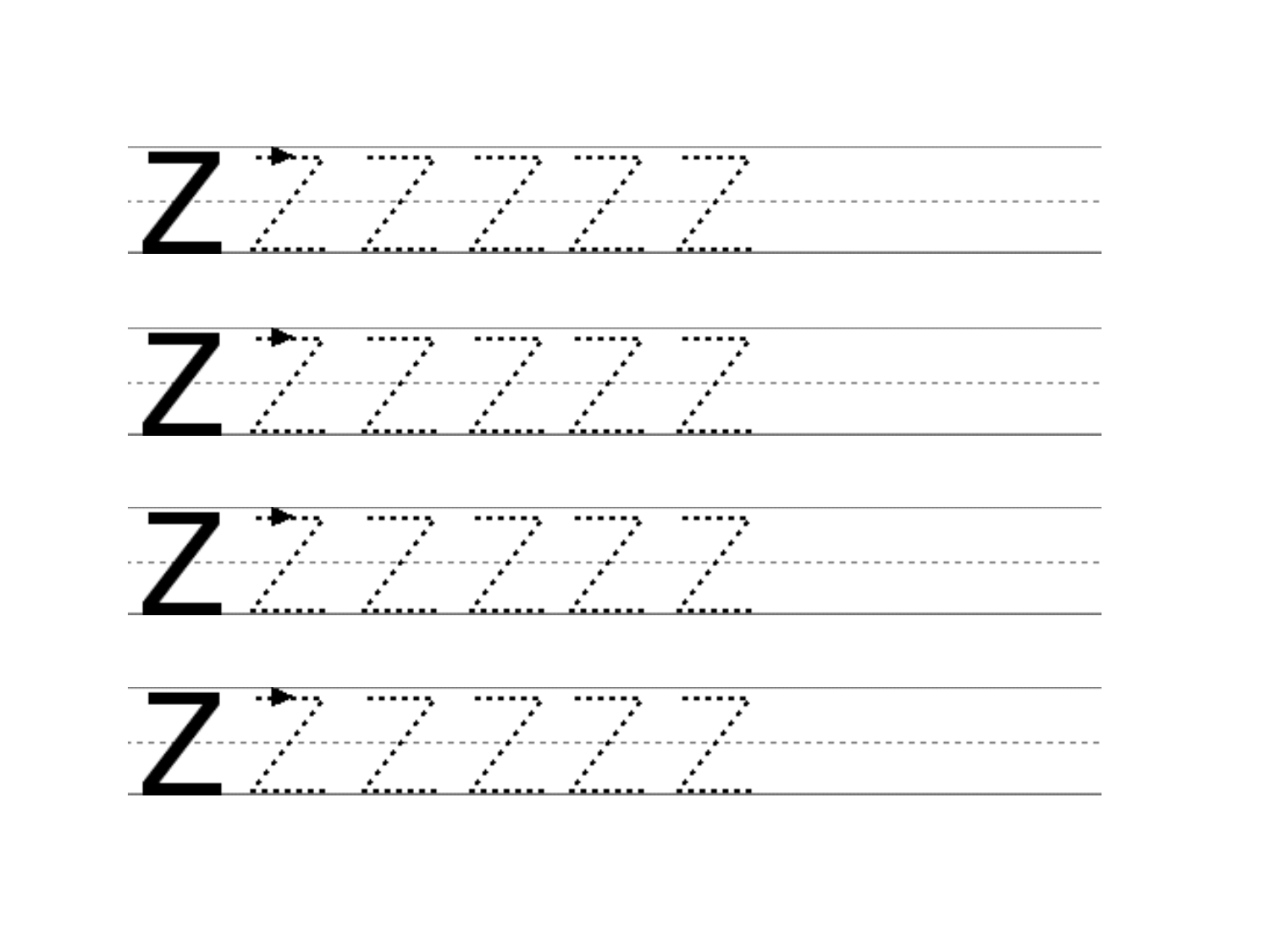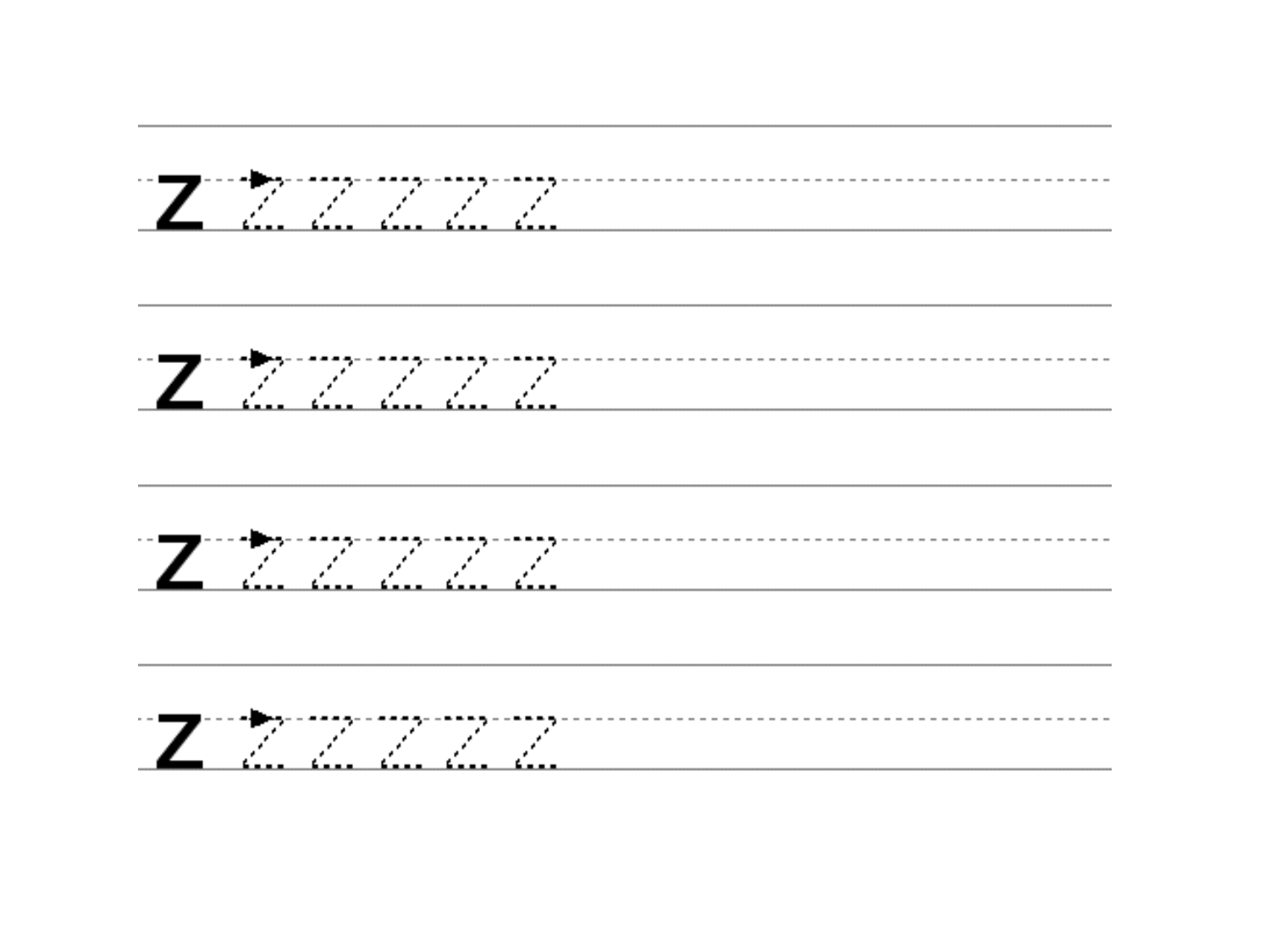